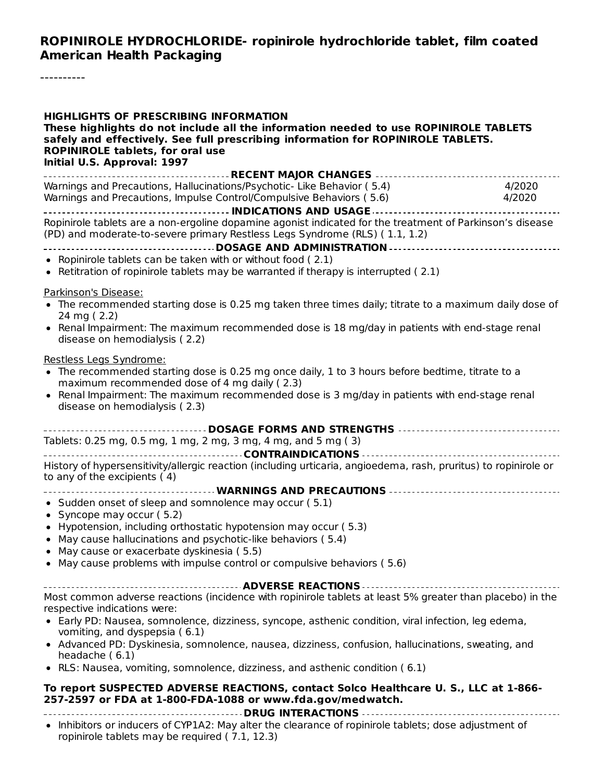#### **ROPINIROLE HYDROCHLORIDE- ropinirole hydrochloride tablet, film coated American Health Packaging**

----------

| <b>HIGHLIGHTS OF PRESCRIBING INFORMATION</b><br>These highlights do not include all the information needed to use ROPINIROLE TABLETS<br>safely and effectively. See full prescribing information for ROPINIROLE TABLETS.<br><b>ROPINIROLE tablets, for oral use</b><br>Initial U.S. Approval: 1997                                                                                                                                                                                        |                  |
|-------------------------------------------------------------------------------------------------------------------------------------------------------------------------------------------------------------------------------------------------------------------------------------------------------------------------------------------------------------------------------------------------------------------------------------------------------------------------------------------|------------------|
| Warnings and Precautions, Hallucinations/Psychotic- Like Behavior (5.4)<br>Warnings and Precautions, Impulse Control/Compulsive Behaviors (5.6)                                                                                                                                                                                                                                                                                                                                           | 4/2020<br>4/2020 |
| Ropinirole tablets are a non-ergoline dopamine agonist indicated for the treatment of Parkinson's disease<br>(PD) and moderate-to-severe primary Restless Legs Syndrome (RLS) (1.1, 1.2)                                                                                                                                                                                                                                                                                                  |                  |
| • Ropinirole tablets can be taken with or without food (2.1)<br>• Retitration of ropinirole tablets may be warranted if therapy is interrupted (2.1)                                                                                                                                                                                                                                                                                                                                      |                  |
| Parkinson's Disease:<br>• The recommended starting dose is 0.25 mg taken three times daily; titrate to a maximum daily dose of<br>24 mg (2.2)<br>• Renal Impairment: The maximum recommended dose is 18 mg/day in patients with end-stage renal<br>disease on hemodialysis (2.2)                                                                                                                                                                                                          |                  |
| Restless Legs Syndrome:<br>• The recommended starting dose is 0.25 mg once daily, 1 to 3 hours before bedtime, titrate to a<br>maximum recommended dose of 4 mg daily (2.3)<br>• Renal Impairment: The maximum recommended dose is 3 mg/day in patients with end-stage renal<br>disease on hemodialysis (2.3)                                                                                                                                                                             |                  |
| Tablets: 0.25 mg, 0.5 mg, 1 mg, 2 mg, 3 mg, 4 mg, and 5 mg (3)                                                                                                                                                                                                                                                                                                                                                                                                                            |                  |
| History of hypersensitivity/allergic reaction (including urticaria, angioedema, rash, pruritus) to ropinirole or<br>to any of the excipients (4)                                                                                                                                                                                                                                                                                                                                          |                  |
| • Sudden onset of sleep and somnolence may occur (5.1)<br>• Syncope may occur $(5.2)$<br>• Hypotension, including orthostatic hypotension may occur (5.3)<br>May cause hallucinations and psychotic-like behaviors (5.4)<br>May cause or exacerbate dyskinesia (5.5)<br>• May cause problems with impulse control or compulsive behaviors (5.6)                                                                                                                                           |                  |
| Most common adverse reactions (incidence with ropinirole tablets at least 5% greater than placebo) in the<br>respective indications were:<br>· Early PD: Nausea, somnolence, dizziness, syncope, asthenic condition, viral infection, leg edema,<br>vomiting, and dyspepsia (6.1)<br>• Advanced PD: Dyskinesia, somnolence, nausea, dizziness, confusion, hallucinations, sweating, and<br>headache (6.1)<br>• RLS: Nausea, vomiting, somnolence, dizziness, and asthenic condition (6.1) |                  |
| To report SUSPECTED ADVERSE REACTIONS, contact Solco Healthcare U. S., LLC at 1-866-<br>257-2597 or FDA at 1-800-FDA-1088 or www.fda.gov/medwatch.                                                                                                                                                                                                                                                                                                                                        |                  |

**DRUG INTERACTIONS** • Inhibitors or inducers of CYP1A2: May alter the clearance of ropinirole tablets; dose adjustment of ropinirole tablets may be required ( $7.1$ , 12.3)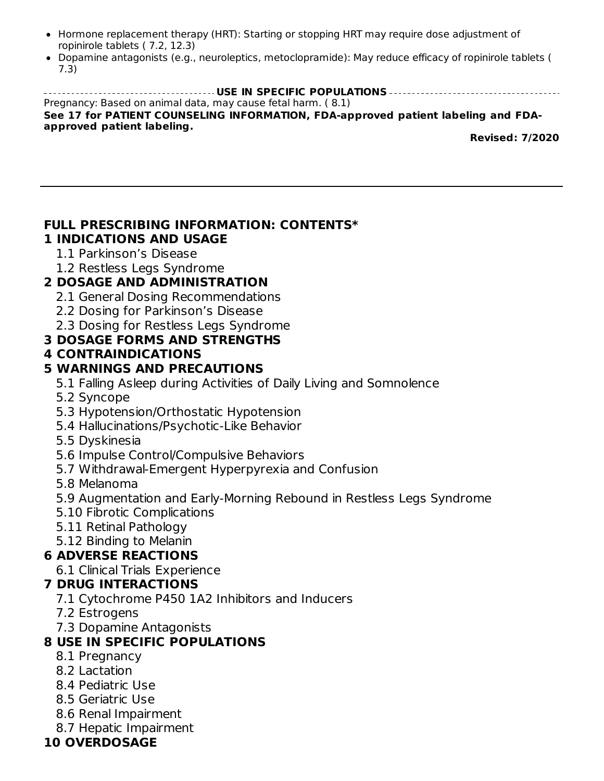- Hormone replacement therapy (HRT): Starting or stopping HRT may require dose adjustment of ropinirole tablets ( 7.2, 12.3)
- Dopamine antagonists (e.g., neuroleptics, metoclopramide): May reduce efficacy of ropinirole tablets ( 7.3)

**USE IN SPECIFIC POPULATIONS** Pregnancy: Based on animal data, may cause fetal harm. ( 8.1) **See 17 for PATIENT COUNSELING INFORMATION, FDA-approved patient labeling and FDAapproved patient labeling. Revised: 7/2020**

# **FULL PRESCRIBING INFORMATION: CONTENTS\***

# **1 INDICATIONS AND USAGE**

- 1.1 Parkinson's Disease
- 1.2 Restless Legs Syndrome

### **2 DOSAGE AND ADMINISTRATION**

- 2.1 General Dosing Recommendations
- 2.2 Dosing for Parkinson's Disease
- 2.3 Dosing for Restless Legs Syndrome

### **3 DOSAGE FORMS AND STRENGTHS**

### **4 CONTRAINDICATIONS**

### **5 WARNINGS AND PRECAUTIONS**

- 5.1 Falling Asleep during Activities of Daily Living and Somnolence
- 5.2 Syncope
- 5.3 Hypotension/Orthostatic Hypotension
- 5.4 Hallucinations/Psychotic-Like Behavior
- 5.5 Dyskinesia
- 5.6 Impulse Control/Compulsive Behaviors
- 5.7 Withdrawal-Emergent Hyperpyrexia and Confusion
- 5.8 Melanoma
- 5.9 Augmentation and Early-Morning Rebound in Restless Legs Syndrome
- 5.10 Fibrotic Complications
- 5.11 Retinal Pathology
- 5.12 Binding to Melanin

# **6 ADVERSE REACTIONS**

6.1 Clinical Trials Experience

#### **7 DRUG INTERACTIONS**

- 7.1 Cytochrome P450 1A2 Inhibitors and Inducers
- 7.2 Estrogens
- 7.3 Dopamine Antagonists

# **8 USE IN SPECIFIC POPULATIONS**

- 8.1 Pregnancy
- 8.2 Lactation
- 8.4 Pediatric Use
- 8.5 Geriatric Use
- 8.6 Renal Impairment
- 8.7 Hepatic Impairment

## **10 OVERDOSAGE**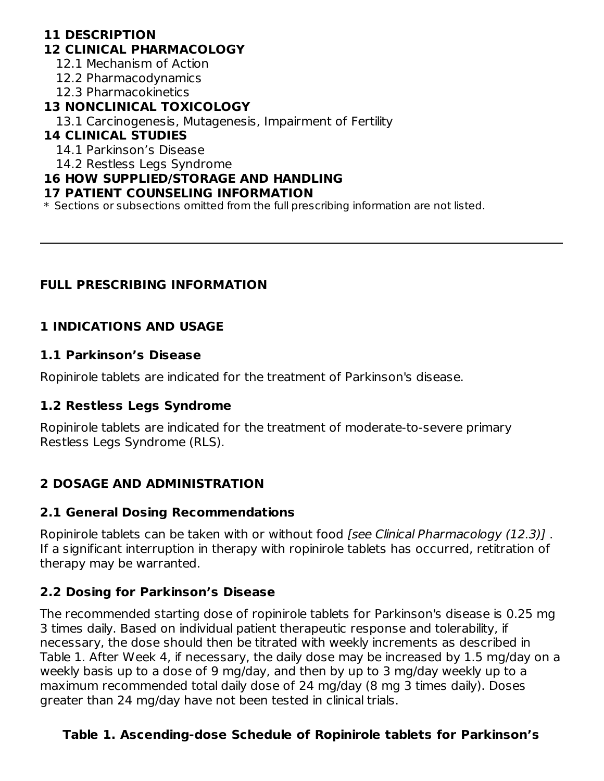# **11 DESCRIPTION**

#### **12 CLINICAL PHARMACOLOGY**

12.1 Mechanism of Action

12.2 Pharmacodynamics

12.3 Pharmacokinetics

### **13 NONCLINICAL TOXICOLOGY**

13.1 Carcinogenesis, Mutagenesis, Impairment of Fertility

## **14 CLINICAL STUDIES**

14.1 Parkinson's Disease

14.2 Restless Legs Syndrome

### **16 HOW SUPPLIED/STORAGE AND HANDLING**

#### **17 PATIENT COUNSELING INFORMATION**

\* Sections or subsections omitted from the full prescribing information are not listed.

## **FULL PRESCRIBING INFORMATION**

# **1 INDICATIONS AND USAGE**

### **1.1 Parkinson's Disease**

Ropinirole tablets are indicated for the treatment of Parkinson's disease.

## **1.2 Restless Legs Syndrome**

Ropinirole tablets are indicated for the treatment of moderate-to-severe primary Restless Legs Syndrome (RLS).

# **2 DOSAGE AND ADMINISTRATION**

## **2.1 General Dosing Recommendations**

Ropinirole tablets can be taken with or without food [see Clinical Pharmacology (12.3)]. If a significant interruption in therapy with ropinirole tablets has occurred, retitration of therapy may be warranted.

# **2.2 Dosing for Parkinson's Disease**

The recommended starting dose of ropinirole tablets for Parkinson's disease is 0.25 mg 3 times daily. Based on individual patient therapeutic response and tolerability, if necessary, the dose should then be titrated with weekly increments as described in Table 1. After Week 4, if necessary, the daily dose may be increased by 1.5 mg/day on a weekly basis up to a dose of 9 mg/day, and then by up to 3 mg/day weekly up to a maximum recommended total daily dose of 24 mg/day (8 mg 3 times daily). Doses greater than 24 mg/day have not been tested in clinical trials.

# **Table 1. Ascending-dose Schedule of Ropinirole tablets for Parkinson's**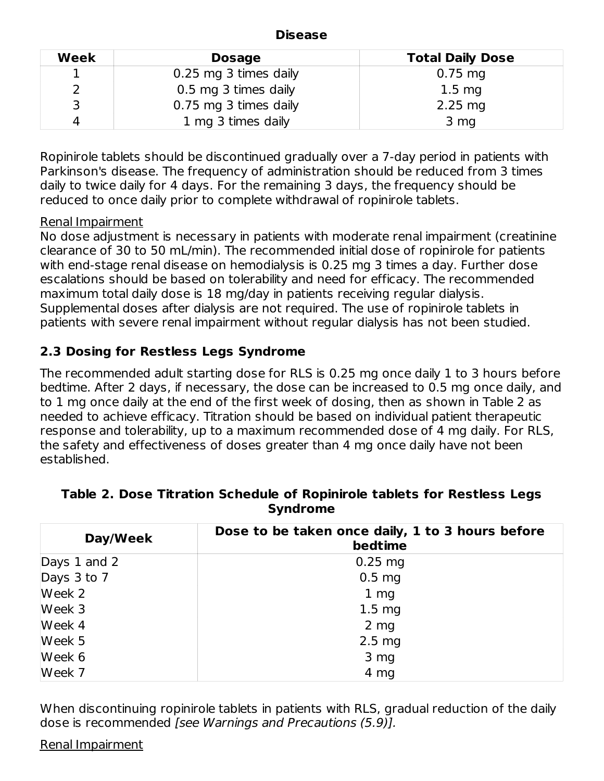#### **Disease**

| Week | <b>Dosage</b>         | <b>Total Daily Dose</b> |
|------|-----------------------|-------------------------|
|      | 0.25 mg 3 times daily | $0.75 \, \text{mg}$     |
|      | 0.5 mg 3 times daily  | $1.5 \text{ mg}$        |
|      | 0.75 mg 3 times daily | $2.25$ mg               |
|      | 1 mg 3 times daily    | 3 <sub>mg</sub>         |

Ropinirole tablets should be discontinued gradually over a 7-day period in patients with Parkinson's disease. The frequency of administration should be reduced from 3 times daily to twice daily for 4 days. For the remaining 3 days, the frequency should be reduced to once daily prior to complete withdrawal of ropinirole tablets.

#### Renal Impairment

No dose adjustment is necessary in patients with moderate renal impairment (creatinine clearance of 30 to 50 mL/min). The recommended initial dose of ropinirole for patients with end-stage renal disease on hemodialysis is 0.25 mg 3 times a day. Further dose escalations should be based on tolerability and need for efficacy. The recommended maximum total daily dose is 18 mg/day in patients receiving regular dialysis. Supplemental doses after dialysis are not required. The use of ropinirole tablets in patients with severe renal impairment without regular dialysis has not been studied.

## **2.3 Dosing for Restless Legs Syndrome**

The recommended adult starting dose for RLS is 0.25 mg once daily 1 to 3 hours before bedtime. After 2 days, if necessary, the dose can be increased to 0.5 mg once daily, and to 1 mg once daily at the end of the first week of dosing, then as shown in Table 2 as needed to achieve efficacy. Titration should be based on individual patient therapeutic response and tolerability, up to a maximum recommended dose of 4 mg daily. For RLS, the safety and effectiveness of doses greater than 4 mg once daily have not been established.

| Day/Week         | Dose to be taken once daily, 1 to 3 hours before<br>bedtime |
|------------------|-------------------------------------------------------------|
| Days $1$ and $2$ | $0.25$ mg                                                   |
| Days 3 to 7      | 0.5 <sub>mg</sub>                                           |
| Week 2           | 1 <sub>mg</sub>                                             |
| Week 3           | 1.5 <sub>mg</sub>                                           |
| Week 4           | $2 \, mg$                                                   |
| Week 5           | 2.5 <sub>mg</sub>                                           |
| Week 6           | 3 mg                                                        |
| Week 7           | 4 mg                                                        |

#### **Table 2. Dose Titration Schedule of Ropinirole tablets for Restless Legs Syndrome**

When discontinuing ropinirole tablets in patients with RLS, gradual reduction of the daily dose is recommended [see Warnings and Precautions (5.9)].

#### Renal Impairment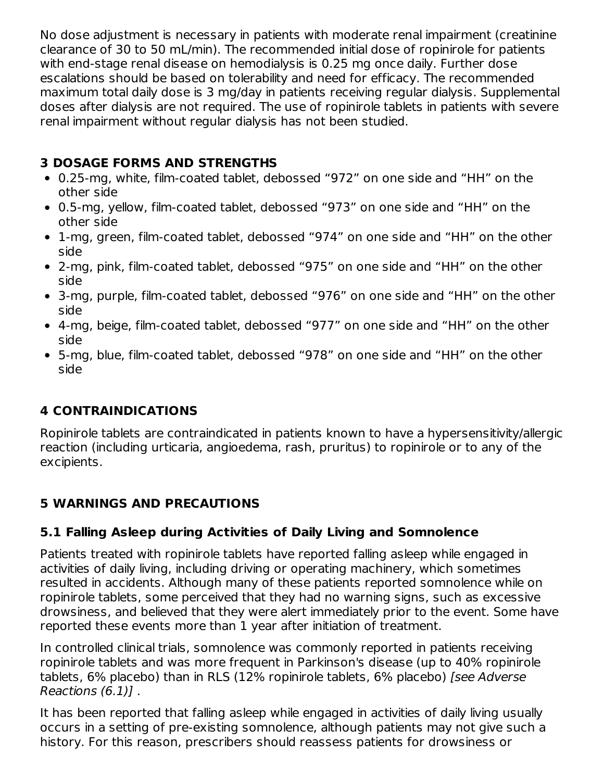No dose adjustment is necessary in patients with moderate renal impairment (creatinine clearance of 30 to 50 mL/min). The recommended initial dose of ropinirole for patients with end-stage renal disease on hemodialysis is 0.25 mg once daily. Further dose escalations should be based on tolerability and need for efficacy. The recommended maximum total daily dose is 3 mg/day in patients receiving regular dialysis. Supplemental doses after dialysis are not required. The use of ropinirole tablets in patients with severe renal impairment without regular dialysis has not been studied.

# **3 DOSAGE FORMS AND STRENGTHS**

- 0.25-mg, white, film-coated tablet, debossed "972" on one side and "HH" on the other side
- 0.5-mg, yellow, film-coated tablet, debossed "973" on one side and "HH" on the other side
- 1-mg, green, film-coated tablet, debossed "974" on one side and "HH" on the other side
- 2-mg, pink, film-coated tablet, debossed "975" on one side and "HH" on the other side
- 3-mg, purple, film-coated tablet, debossed "976" on one side and "HH" on the other side
- 4-mg, beige, film-coated tablet, debossed "977" on one side and "HH" on the other side
- 5-mg, blue, film-coated tablet, debossed "978" on one side and "HH" on the other side

# **4 CONTRAINDICATIONS**

Ropinirole tablets are contraindicated in patients known to have a hypersensitivity/allergic reaction (including urticaria, angioedema, rash, pruritus) to ropinirole or to any of the excipients.

## **5 WARNINGS AND PRECAUTIONS**

## **5.1 Falling Asleep during Activities of Daily Living and Somnolence**

Patients treated with ropinirole tablets have reported falling asleep while engaged in activities of daily living, including driving or operating machinery, which sometimes resulted in accidents. Although many of these patients reported somnolence while on ropinirole tablets, some perceived that they had no warning signs, such as excessive drowsiness, and believed that they were alert immediately prior to the event. Some have reported these events more than 1 year after initiation of treatment.

In controlled clinical trials, somnolence was commonly reported in patients receiving ropinirole tablets and was more frequent in Parkinson's disease (up to 40% ropinirole tablets, 6% placebo) than in RLS (12% ropinirole tablets, 6% placebo) [see Adverse Reactions (6.1)] .

It has been reported that falling asleep while engaged in activities of daily living usually occurs in a setting of pre-existing somnolence, although patients may not give such a history. For this reason, prescribers should reassess patients for drowsiness or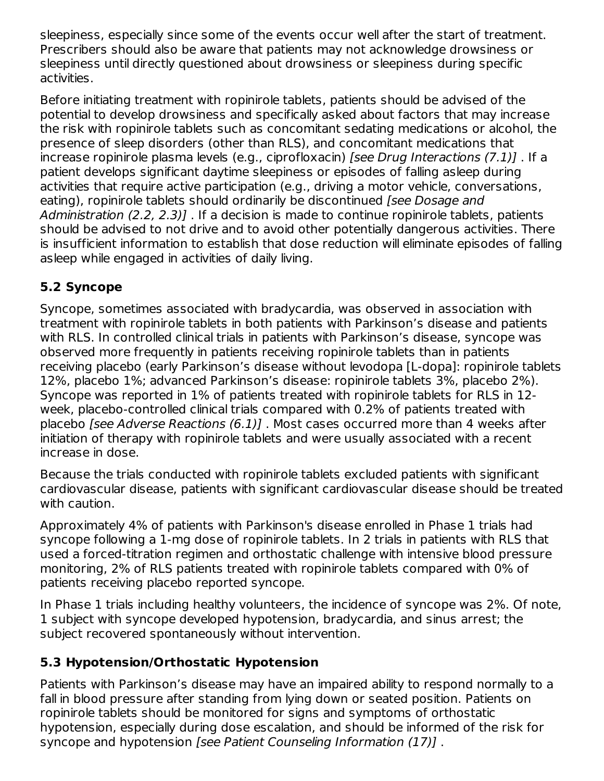sleepiness, especially since some of the events occur well after the start of treatment. Prescribers should also be aware that patients may not acknowledge drowsiness or sleepiness until directly questioned about drowsiness or sleepiness during specific activities.

Before initiating treatment with ropinirole tablets, patients should be advised of the potential to develop drowsiness and specifically asked about factors that may increase the risk with ropinirole tablets such as concomitant sedating medications or alcohol, the presence of sleep disorders (other than RLS), and concomitant medications that increase ropinirole plasma levels (e.g., ciprofloxacin) [see Drug Interactions (7.1)] . If a patient develops significant daytime sleepiness or episodes of falling asleep during activities that require active participation (e.g., driving a motor vehicle, conversations, eating), ropinirole tablets should ordinarily be discontinued (see Dosage and Administration (2.2, 2.3)]. If a decision is made to continue ropinirole tablets, patients should be advised to not drive and to avoid other potentially dangerous activities. There is insufficient information to establish that dose reduction will eliminate episodes of falling asleep while engaged in activities of daily living.

# **5.2 Syncope**

Syncope, sometimes associated with bradycardia, was observed in association with treatment with ropinirole tablets in both patients with Parkinson's disease and patients with RLS. In controlled clinical trials in patients with Parkinson's disease, syncope was observed more frequently in patients receiving ropinirole tablets than in patients receiving placebo (early Parkinson's disease without levodopa [L-dopa]: ropinirole tablets 12%, placebo 1%; advanced Parkinson's disease: ropinirole tablets 3%, placebo 2%). Syncope was reported in 1% of patients treated with ropinirole tablets for RLS in 12 week, placebo-controlled clinical trials compared with 0.2% of patients treated with placebo [see Adverse Reactions (6.1)] . Most cases occurred more than 4 weeks after initiation of therapy with ropinirole tablets and were usually associated with a recent increase in dose.

Because the trials conducted with ropinirole tablets excluded patients with significant cardiovascular disease, patients with significant cardiovascular disease should be treated with caution.

Approximately 4% of patients with Parkinson's disease enrolled in Phase 1 trials had syncope following a 1-mg dose of ropinirole tablets. In 2 trials in patients with RLS that used a forced-titration regimen and orthostatic challenge with intensive blood pressure monitoring, 2% of RLS patients treated with ropinirole tablets compared with 0% of patients receiving placebo reported syncope.

In Phase 1 trials including healthy volunteers, the incidence of syncope was 2%. Of note, 1 subject with syncope developed hypotension, bradycardia, and sinus arrest; the subject recovered spontaneously without intervention.

# **5.3 Hypotension/Orthostatic Hypotension**

Patients with Parkinson's disease may have an impaired ability to respond normally to a fall in blood pressure after standing from lying down or seated position. Patients on ropinirole tablets should be monitored for signs and symptoms of orthostatic hypotension, especially during dose escalation, and should be informed of the risk for syncope and hypotension [see Patient Counseling Information (17)] .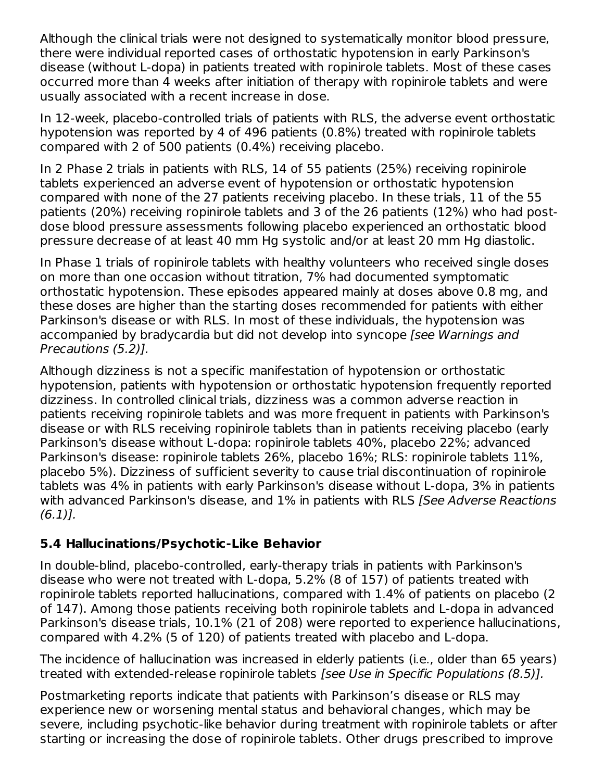Although the clinical trials were not designed to systematically monitor blood pressure, there were individual reported cases of orthostatic hypotension in early Parkinson's disease (without L-dopa) in patients treated with ropinirole tablets. Most of these cases occurred more than 4 weeks after initiation of therapy with ropinirole tablets and were usually associated with a recent increase in dose.

In 12-week, placebo-controlled trials of patients with RLS, the adverse event orthostatic hypotension was reported by 4 of 496 patients (0.8%) treated with ropinirole tablets compared with 2 of 500 patients (0.4%) receiving placebo.

In 2 Phase 2 trials in patients with RLS, 14 of 55 patients (25%) receiving ropinirole tablets experienced an adverse event of hypotension or orthostatic hypotension compared with none of the 27 patients receiving placebo. In these trials, 11 of the 55 patients (20%) receiving ropinirole tablets and 3 of the 26 patients (12%) who had postdose blood pressure assessments following placebo experienced an orthostatic blood pressure decrease of at least 40 mm Hg systolic and/or at least 20 mm Hg diastolic.

In Phase 1 trials of ropinirole tablets with healthy volunteers who received single doses on more than one occasion without titration, 7% had documented symptomatic orthostatic hypotension. These episodes appeared mainly at doses above 0.8 mg, and these doses are higher than the starting doses recommended for patients with either Parkinson's disease or with RLS. In most of these individuals, the hypotension was accompanied by bradycardia but did not develop into syncope [see Warnings and Precautions (5.2)].

Although dizziness is not a specific manifestation of hypotension or orthostatic hypotension, patients with hypotension or orthostatic hypotension frequently reported dizziness. In controlled clinical trials, dizziness was a common adverse reaction in patients receiving ropinirole tablets and was more frequent in patients with Parkinson's disease or with RLS receiving ropinirole tablets than in patients receiving placebo (early Parkinson's disease without L-dopa: ropinirole tablets 40%, placebo 22%; advanced Parkinson's disease: ropinirole tablets 26%, placebo 16%; RLS: ropinirole tablets 11%, placebo 5%). Dizziness of sufficient severity to cause trial discontinuation of ropinirole tablets was 4% in patients with early Parkinson's disease without L-dopa, 3% in patients with advanced Parkinson's disease, and 1% in patients with RLS [See Adverse Reactions  $(6.1)$ .

## **5.4 Hallucinations/Psychotic-Like Behavior**

In double-blind, placebo-controlled, early-therapy trials in patients with Parkinson's disease who were not treated with L-dopa, 5.2% (8 of 157) of patients treated with ropinirole tablets reported hallucinations, compared with 1.4% of patients on placebo (2 of 147). Among those patients receiving both ropinirole tablets and L-dopa in advanced Parkinson's disease trials, 10.1% (21 of 208) were reported to experience hallucinations, compared with 4.2% (5 of 120) of patients treated with placebo and L-dopa.

The incidence of hallucination was increased in elderly patients (i.e., older than 65 years) treated with extended-release ropinirole tablets [see Use in Specific Populations (8.5)].

Postmarketing reports indicate that patients with Parkinson's disease or RLS may experience new or worsening mental status and behavioral changes, which may be severe, including psychotic-like behavior during treatment with ropinirole tablets or after starting or increasing the dose of ropinirole tablets. Other drugs prescribed to improve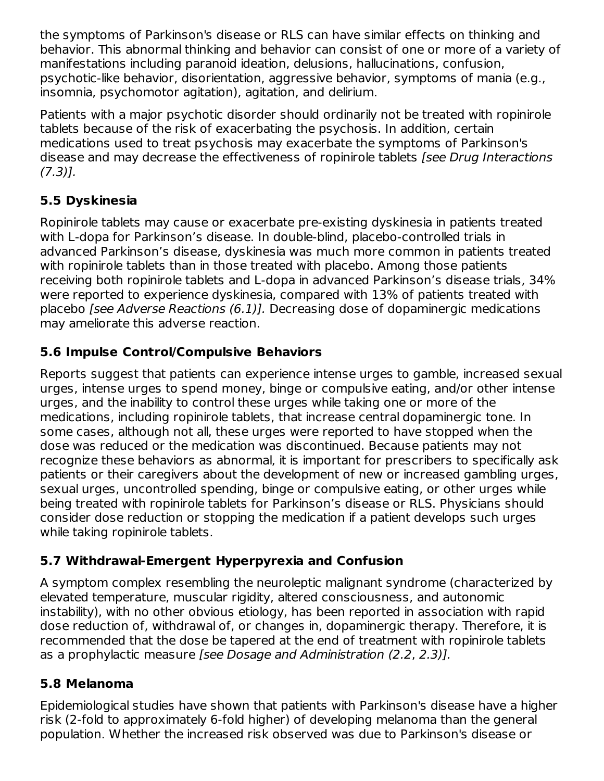the symptoms of Parkinson's disease or RLS can have similar effects on thinking and behavior. This abnormal thinking and behavior can consist of one or more of a variety of manifestations including paranoid ideation, delusions, hallucinations, confusion, psychotic-like behavior, disorientation, aggressive behavior, symptoms of mania (e.g., insomnia, psychomotor agitation), agitation, and delirium.

Patients with a major psychotic disorder should ordinarily not be treated with ropinirole tablets because of the risk of exacerbating the psychosis. In addition, certain medications used to treat psychosis may exacerbate the symptoms of Parkinson's disease and may decrease the effectiveness of ropinirole tablets [see Drug Interactions  $(7.3)$ ].

# **5.5 Dyskinesia**

Ropinirole tablets may cause or exacerbate pre-existing dyskinesia in patients treated with L-dopa for Parkinson's disease. In double-blind, placebo-controlled trials in advanced Parkinson's disease, dyskinesia was much more common in patients treated with ropinirole tablets than in those treated with placebo. Among those patients receiving both ropinirole tablets and L-dopa in advanced Parkinson's disease trials, 34% were reported to experience dyskinesia, compared with 13% of patients treated with placebo [see Adverse Reactions (6.1)]. Decreasing dose of dopaminergic medications may ameliorate this adverse reaction.

# **5.6 Impulse Control/Compulsive Behaviors**

Reports suggest that patients can experience intense urges to gamble, increased sexual urges, intense urges to spend money, binge or compulsive eating, and/or other intense urges, and the inability to control these urges while taking one or more of the medications, including ropinirole tablets, that increase central dopaminergic tone. In some cases, although not all, these urges were reported to have stopped when the dose was reduced or the medication was discontinued. Because patients may not recognize these behaviors as abnormal, it is important for prescribers to specifically ask patients or their caregivers about the development of new or increased gambling urges, sexual urges, uncontrolled spending, binge or compulsive eating, or other urges while being treated with ropinirole tablets for Parkinson's disease or RLS. Physicians should consider dose reduction or stopping the medication if a patient develops such urges while taking ropinirole tablets.

## **5.7 Withdrawal-Emergent Hyperpyrexia and Confusion**

A symptom complex resembling the neuroleptic malignant syndrome (characterized by elevated temperature, muscular rigidity, altered consciousness, and autonomic instability), with no other obvious etiology, has been reported in association with rapid dose reduction of, withdrawal of, or changes in, dopaminergic therapy. Therefore, it is recommended that the dose be tapered at the end of treatment with ropinirole tablets as a prophylactic measure [see Dosage and Administration (2.2, 2.3)].

## **5.8 Melanoma**

Epidemiological studies have shown that patients with Parkinson's disease have a higher risk (2-fold to approximately 6-fold higher) of developing melanoma than the general population. Whether the increased risk observed was due to Parkinson's disease or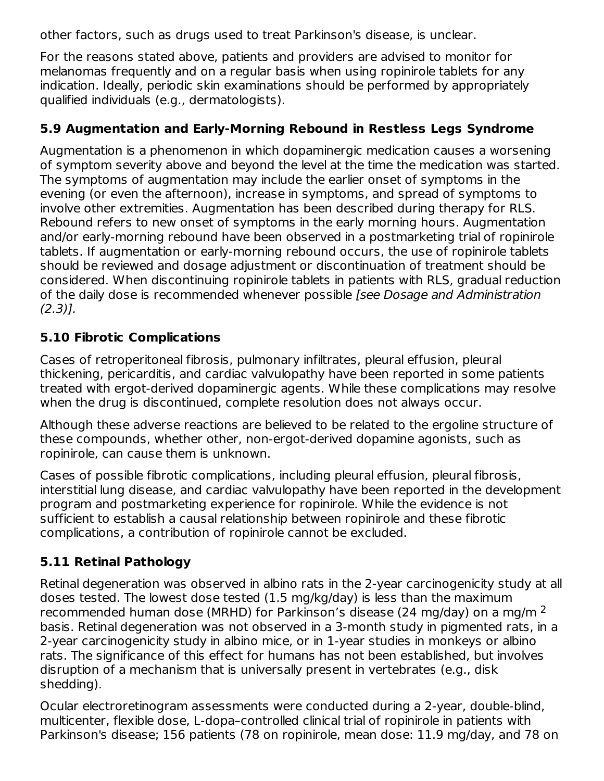other factors, such as drugs used to treat Parkinson's disease, is unclear.

For the reasons stated above, patients and providers are advised to monitor for melanomas frequently and on a regular basis when using ropinirole tablets for any indication. Ideally, periodic skin examinations should be performed by appropriately qualified individuals (e.g., dermatologists).

## **5.9 Augmentation and Early-Morning Rebound in Restless Legs Syndrome**

Augmentation is a phenomenon in which dopaminergic medication causes a worsening of symptom severity above and beyond the level at the time the medication was started. The symptoms of augmentation may include the earlier onset of symptoms in the evening (or even the afternoon), increase in symptoms, and spread of symptoms to involve other extremities. Augmentation has been described during therapy for RLS. Rebound refers to new onset of symptoms in the early morning hours. Augmentation and/or early-morning rebound have been observed in a postmarketing trial of ropinirole tablets. If augmentation or early-morning rebound occurs, the use of ropinirole tablets should be reviewed and dosage adjustment or discontinuation of treatment should be considered. When discontinuing ropinirole tablets in patients with RLS, gradual reduction of the daily dose is recommended whenever possible [see Dosage and Administration  $(2.3)$ ].

# **5.10 Fibrotic Complications**

Cases of retroperitoneal fibrosis, pulmonary infiltrates, pleural effusion, pleural thickening, pericarditis, and cardiac valvulopathy have been reported in some patients treated with ergot-derived dopaminergic agents. While these complications may resolve when the drug is discontinued, complete resolution does not always occur.

Although these adverse reactions are believed to be related to the ergoline structure of these compounds, whether other, non-ergot-derived dopamine agonists, such as ropinirole, can cause them is unknown.

Cases of possible fibrotic complications, including pleural effusion, pleural fibrosis, interstitial lung disease, and cardiac valvulopathy have been reported in the development program and postmarketing experience for ropinirole. While the evidence is not sufficient to establish a causal relationship between ropinirole and these fibrotic complications, a contribution of ropinirole cannot be excluded.

# **5.11 Retinal Pathology**

Retinal degeneration was observed in albino rats in the 2-year carcinogenicity study at all doses tested. The lowest dose tested (1.5 mg/kg/day) is less than the maximum recommended human dose (MRHD) for Parkinson's disease (24 mg/day) on a mg/m  $^{\mathsf{2}}$ basis. Retinal degeneration was not observed in a 3-month study in pigmented rats, in a 2-year carcinogenicity study in albino mice, or in 1-year studies in monkeys or albino rats. The significance of this effect for humans has not been established, but involves disruption of a mechanism that is universally present in vertebrates (e.g., disk shedding).

Ocular electroretinogram assessments were conducted during a 2-year, double-blind, multicenter, flexible dose, L-dopa–controlled clinical trial of ropinirole in patients with Parkinson's disease; 156 patients (78 on ropinirole, mean dose: 11.9 mg/day, and 78 on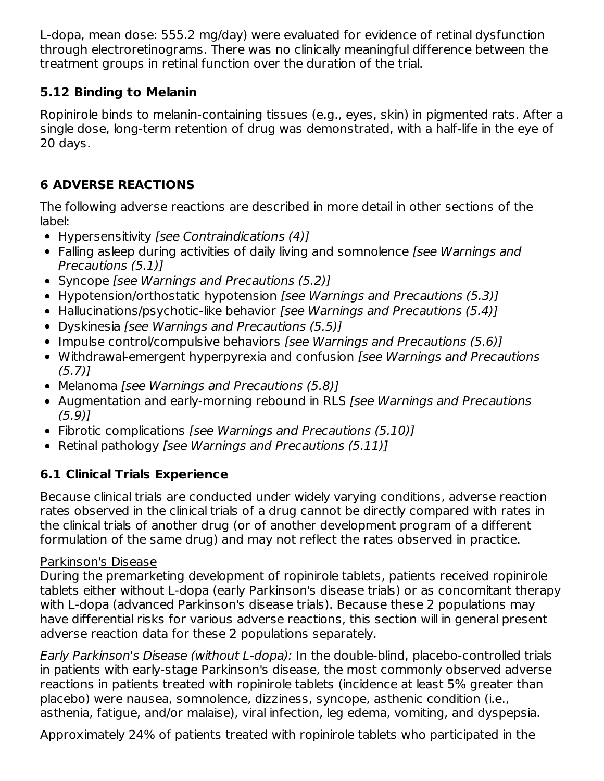L-dopa, mean dose: 555.2 mg/day) were evaluated for evidence of retinal dysfunction through electroretinograms. There was no clinically meaningful difference between the treatment groups in retinal function over the duration of the trial.

# **5.12 Binding to Melanin**

Ropinirole binds to melanin-containing tissues (e.g., eyes, skin) in pigmented rats. After a single dose, long-term retention of drug was demonstrated, with a half-life in the eye of 20 days.

# **6 ADVERSE REACTIONS**

The following adverse reactions are described in more detail in other sections of the label:

- Hypersensitivity [see Contraindications (4)]
- Falling asleep during activities of daily living and somnolence [see Warnings and Precautions (5.1)]
- Syncope [see Warnings and Precautions (5.2)]
- Hypotension/orthostatic hypotension [see Warnings and Precautions (5.3)]
- Hallucinations/psychotic-like behavior [see Warnings and Precautions (5.4)]
- Dyskinesia [see Warnings and Precautions (5.5)]
- Impulse control/compulsive behaviors [see Warnings and Precautions (5.6)]
- Withdrawal-emergent hyperpyrexia and confusion *[see Warnings and Precautions* (5.7)]
- Melanoma *[see Warnings and Precautions (5.8)]*
- Augmentation and early-morning rebound in RLS [see Warnings and Precautions (5.9)]
- Fibrotic complications [see Warnings and Precautions (5.10)]
- Retinal pathology [see Warnings and Precautions (5.11)]

# **6.1 Clinical Trials Experience**

Because clinical trials are conducted under widely varying conditions, adverse reaction rates observed in the clinical trials of a drug cannot be directly compared with rates in the clinical trials of another drug (or of another development program of a different formulation of the same drug) and may not reflect the rates observed in practice.

## Parkinson's Disease

During the premarketing development of ropinirole tablets, patients received ropinirole tablets either without L-dopa (early Parkinson's disease trials) or as concomitant therapy with L-dopa (advanced Parkinson's disease trials). Because these 2 populations may have differential risks for various adverse reactions, this section will in general present adverse reaction data for these 2 populations separately.

Early Parkinson's Disease (without L-dopa): In the double-blind, placebo-controlled trials in patients with early-stage Parkinson's disease, the most commonly observed adverse reactions in patients treated with ropinirole tablets (incidence at least 5% greater than placebo) were nausea, somnolence, dizziness, syncope, asthenic condition (i.e., asthenia, fatigue, and/or malaise), viral infection, leg edema, vomiting, and dyspepsia.

Approximately 24% of patients treated with ropinirole tablets who participated in the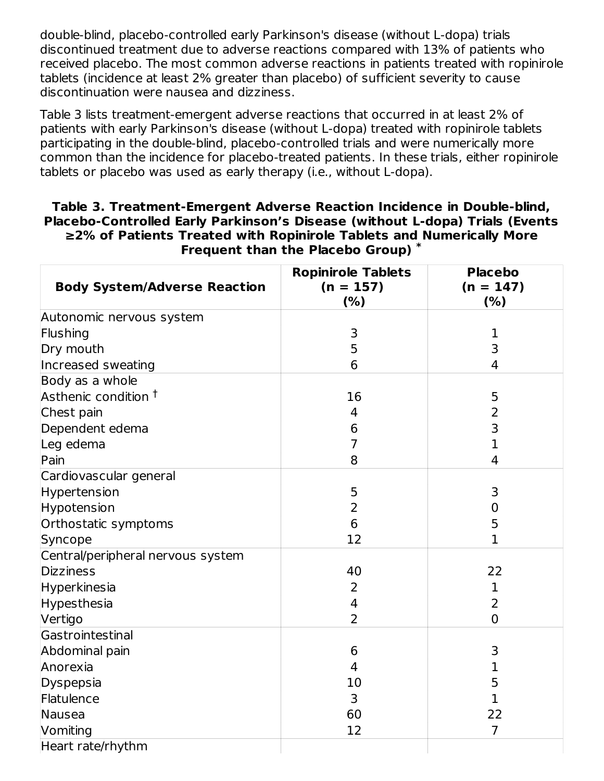double-blind, placebo-controlled early Parkinson's disease (without L-dopa) trials discontinued treatment due to adverse reactions compared with 13% of patients who received placebo. The most common adverse reactions in patients treated with ropinirole tablets (incidence at least 2% greater than placebo) of sufficient severity to cause discontinuation were nausea and dizziness.

Table 3 lists treatment-emergent adverse reactions that occurred in at least 2% of patients with early Parkinson's disease (without L-dopa) treated with ropinirole tablets participating in the double-blind, placebo-controlled trials and were numerically more common than the incidence for placebo-treated patients. In these trials, either ropinirole tablets or placebo was used as early therapy (i.e., without L-dopa).

#### **Table 3. Treatment-Emergent Adverse Reaction Incidence in Double-blind, Placebo-Controlled Early Parkinson's Disease (without L-dopa) Trials (Events ≥2% of Patients Treated with Ropinirole Tablets and Numerically More Frequent than the Placebo Group) \***

| <b>Body System/Adverse Reaction</b> | <b>Ropinirole Tablets</b><br>$(n = 157)$<br>(% ) | <b>Placebo</b><br>$(n = 147)$<br>(% ) |
|-------------------------------------|--------------------------------------------------|---------------------------------------|
| Autonomic nervous system            |                                                  |                                       |
| Flushing                            | 3                                                | 1                                     |
| Dry mouth                           | 5                                                | 3                                     |
| Increased sweating                  | 6                                                | $\overline{4}$                        |
| Body as a whole                     |                                                  |                                       |
| Asthenic condition <sup>†</sup>     | 16                                               | 5                                     |
| Chest pain                          | 4                                                | 2                                     |
| Dependent edema                     | 6                                                | 3                                     |
| Leg edema                           | $\overline{7}$                                   | $\mathbf{1}$                          |
| Pain                                | 8                                                | 4                                     |
| Cardiovascular general              |                                                  |                                       |
| Hypertension                        | 5                                                | 3                                     |
| Hypotension                         | $\overline{2}$                                   | 0                                     |
| Orthostatic symptoms                | 6                                                | 5                                     |
| Syncope                             | 12                                               | $\mathbf{1}$                          |
| Central/peripheral nervous system   |                                                  |                                       |
| <b>Dizziness</b>                    | 40                                               | 22                                    |
| Hyperkinesia                        | 2                                                | 1                                     |
| Hypesthesia                         | $\overline{4}$                                   | $\overline{2}$                        |
| Vertigo                             | $\overline{2}$                                   | $\overline{0}$                        |
| Gastrointestinal                    |                                                  |                                       |
| Abdominal pain                      | 6                                                | 3                                     |
| Anorexia                            | $\overline{4}$                                   | $\mathbf 1$                           |
| Dyspepsia                           | 10                                               | 5                                     |
| Flatulence                          | 3                                                | $\mathbf 1$                           |
| Nausea                              | 60                                               | 22                                    |
| Vomiting                            | 12                                               | $\overline{7}$                        |
| Heart rate/rhythm                   |                                                  |                                       |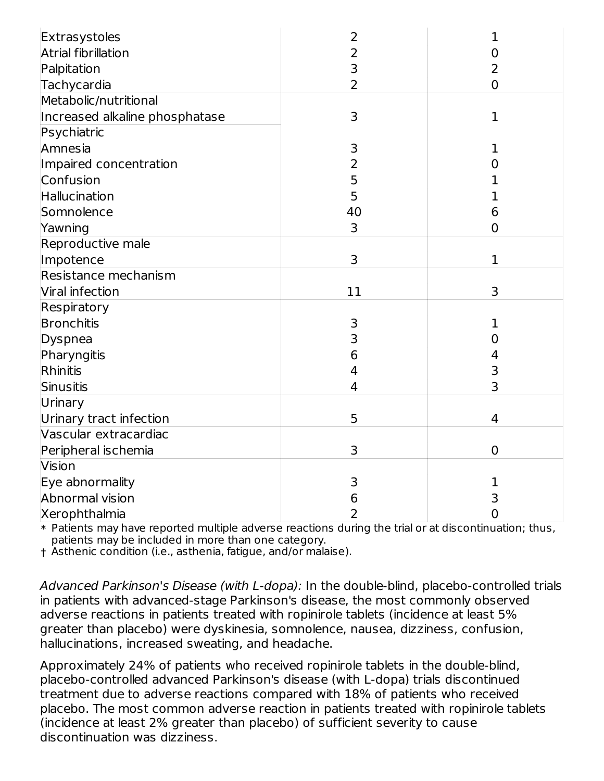| Extrasystoles                  | 2              | 1              |
|--------------------------------|----------------|----------------|
| <b>Atrial fibrillation</b>     | 2              | 0              |
| Palpitation                    | 3              | 2              |
| Tachycardia                    | 2              | $\overline{0}$ |
| Metabolic/nutritional          |                |                |
| Increased alkaline phosphatase | 3              | $\mathbf{1}$   |
| Psychiatric                    |                |                |
| Amnesia                        | 3              | 1              |
| Impaired concentration         | $\overline{2}$ | O              |
| Confusion                      | 5              | 1              |
| Hallucination                  | 5              | 1              |
| Somnolence                     | 40             | 6              |
| Yawning                        | 3              | $\overline{0}$ |
| Reproductive male              |                |                |
| Impotence                      | 3              | $\mathbf{1}$   |
| Resistance mechanism           |                |                |
| Viral infection                | 11             | 3              |
| Respiratory                    |                |                |
| Bronchitis                     | 3              | 1              |
| Dyspnea                        | 3              | O              |
| Pharyngitis                    | 6              | 4              |
| Rhinitis                       | 4              | 3              |
| Sinusitis                      | $\overline{4}$ | 3              |
| Urinary                        |                |                |
| Urinary tract infection        | 5              | 4              |
| Vascular extracardiac          |                |                |
| Peripheral ischemia            | 3              | $\mathbf 0$    |
| Vision                         |                |                |
| Eye abnormality                | 3              | 1              |
| Abnormal vision                | 6              | 3              |
| Xerophthalmia                  | 2              | $\mathbf 0$    |

 $\ast$  Patients may have reported multiple adverse reactions during the trial or at discontinuation; thus, patients may be included in more than one category.

† Asthenic condition (i.e., asthenia, fatigue, and/or malaise).

Advanced Parkinson's Disease (with L-dopa): In the double-blind, placebo-controlled trials in patients with advanced-stage Parkinson's disease, the most commonly observed adverse reactions in patients treated with ropinirole tablets (incidence at least 5% greater than placebo) were dyskinesia, somnolence, nausea, dizziness, confusion, hallucinations, increased sweating, and headache.

Approximately 24% of patients who received ropinirole tablets in the double-blind, placebo-controlled advanced Parkinson's disease (with L-dopa) trials discontinued treatment due to adverse reactions compared with 18% of patients who received placebo. The most common adverse reaction in patients treated with ropinirole tablets (incidence at least 2% greater than placebo) of sufficient severity to cause discontinuation was dizziness.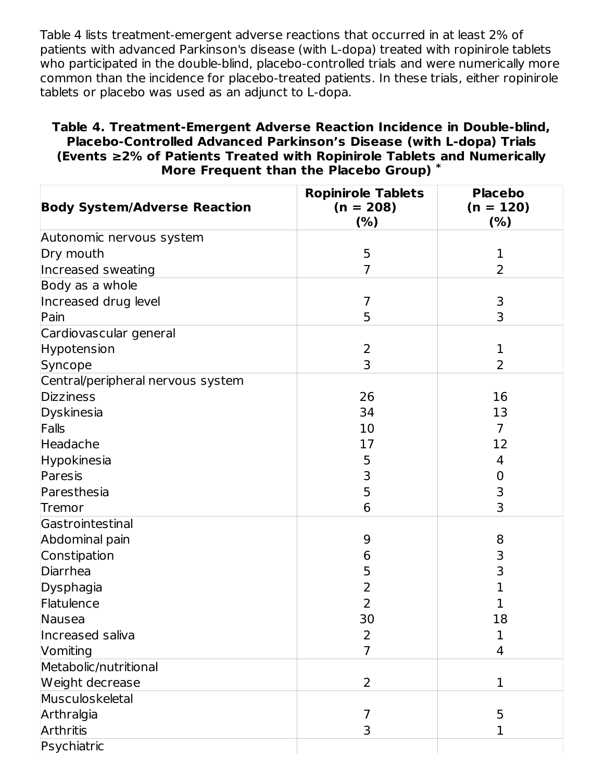Table 4 lists treatment-emergent adverse reactions that occurred in at least 2% of patients with advanced Parkinson's disease (with L-dopa) treated with ropinirole tablets who participated in the double-blind, placebo-controlled trials and were numerically more common than the incidence for placebo-treated patients. In these trials, either ropinirole tablets or placebo was used as an adjunct to L-dopa.

#### **Table 4. Treatment-Emergent Adverse Reaction Incidence in Double-blind, Placebo-Controlled Advanced Parkinson's Disease (with L-dopa) Trials (Events ≥2% of Patients Treated with Ropinirole Tablets and Numerically More Frequent than the Placebo Group) \***

| <b>Body System/Adverse Reaction</b> | <b>Ropinirole Tablets</b><br>$(n = 208)$<br>(%) | <b>Placebo</b><br>$(n = 120)$<br>(% ) |
|-------------------------------------|-------------------------------------------------|---------------------------------------|
| Autonomic nervous system            |                                                 |                                       |
| Dry mouth                           | 5                                               | 1                                     |
| Increased sweating                  | $\overline{7}$                                  | $\overline{2}$                        |
| Body as a whole                     |                                                 |                                       |
| Increased drug level                | 7                                               | 3                                     |
| Pain                                | 5                                               | 3                                     |
| Cardiovascular general              |                                                 |                                       |
| Hypotension                         | $\overline{2}$                                  | 1                                     |
| Syncope                             | 3                                               | 2                                     |
| Central/peripheral nervous system   |                                                 |                                       |
| Dizziness                           | 26                                              | 16                                    |
| Dyskinesia                          | 34                                              | 13                                    |
| Falls                               | 10                                              | $\overline{7}$                        |
| Headache                            | 17                                              | 12                                    |
| Hypokinesia                         | 5                                               | 4                                     |
| Paresis                             | 3                                               | 0                                     |
| Paresthesia                         | 5                                               | 3                                     |
| Tremor                              | 6                                               | 3                                     |
| Gastrointestinal                    |                                                 |                                       |
| Abdominal pain                      | 9                                               | 8                                     |
| Constipation                        | 6                                               | 3                                     |
| Diarrhea                            | 5                                               | 3                                     |
| Dysphagia                           | 2                                               | 1                                     |
| Flatulence                          | $\overline{2}$                                  |                                       |
| Nausea                              | 30                                              | 18                                    |
| Increased saliva                    | 2                                               | 1                                     |
| Vomiting                            | 7                                               | 4                                     |
| Metabolic/nutritional               |                                                 |                                       |
| Weight decrease                     | $\overline{2}$                                  | $\mathbf 1$                           |
| Musculoskeletal                     |                                                 |                                       |
| Arthralgia                          | 7                                               | 5                                     |
| Arthritis                           | 3                                               | 1                                     |
| Psychiatric                         |                                                 |                                       |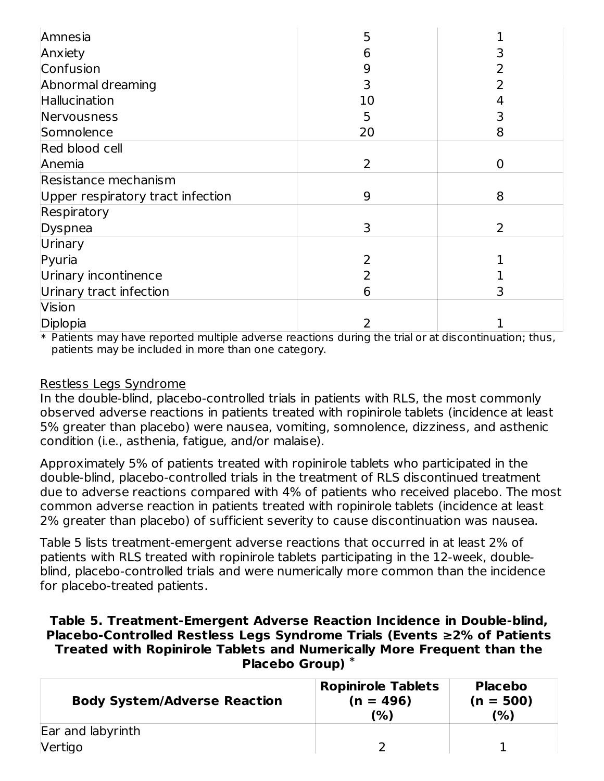| Amnesia                           | 5              |   |
|-----------------------------------|----------------|---|
| Anxiety                           | 6              |   |
| Confusion                         | 9              |   |
| Abnormal dreaming                 | 3              |   |
| Hallucination                     | 10             |   |
| Nervousness                       | 5              |   |
| Somnolence                        | 20             | 8 |
| Red blood cell                    |                |   |
| Anemia                            | $\overline{2}$ | 0 |
| Resistance mechanism              |                |   |
| Upper respiratory tract infection | 9              | 8 |
| Respiratory                       |                |   |
| Dyspnea                           | 3              | 2 |
| Urinary                           |                |   |
| Pyuria                            |                |   |
| Urinary incontinence              |                |   |
| Urinary tract infection           | 6              |   |
| Vision                            |                |   |
| Diplopia                          |                |   |

 $\ast$  Patients may have reported multiple adverse reactions during the trial or at discontinuation; thus, patients may be included in more than one category.

#### Restless Legs Syndrome

In the double-blind, placebo-controlled trials in patients with RLS, the most commonly observed adverse reactions in patients treated with ropinirole tablets (incidence at least 5% greater than placebo) were nausea, vomiting, somnolence, dizziness, and asthenic condition (i.e., asthenia, fatigue, and/or malaise).

Approximately 5% of patients treated with ropinirole tablets who participated in the double-blind, placebo-controlled trials in the treatment of RLS discontinued treatment due to adverse reactions compared with 4% of patients who received placebo. The most common adverse reaction in patients treated with ropinirole tablets (incidence at least 2% greater than placebo) of sufficient severity to cause discontinuation was nausea.

Table 5 lists treatment-emergent adverse reactions that occurred in at least 2% of patients with RLS treated with ropinirole tablets participating in the 12-week, doubleblind, placebo-controlled trials and were numerically more common than the incidence for placebo-treated patients.

#### **Table 5. Treatment-Emergent Adverse Reaction Incidence in Double-blind, Placebo-Controlled Restless Legs Syndrome Trials (Events ≥2% of Patients Treated with Ropinirole Tablets and Numerically More Frequent than the Placebo Group) \***

| <b>Body System/Adverse Reaction</b> | <b>Ropinirole Tablets</b><br>$(n = 496)$<br>(%) | <b>Placebo</b><br>$(n = 500)$<br>(%) |
|-------------------------------------|-------------------------------------------------|--------------------------------------|
| Ear and labyrinth                   |                                                 |                                      |
| Vertigo                             |                                                 |                                      |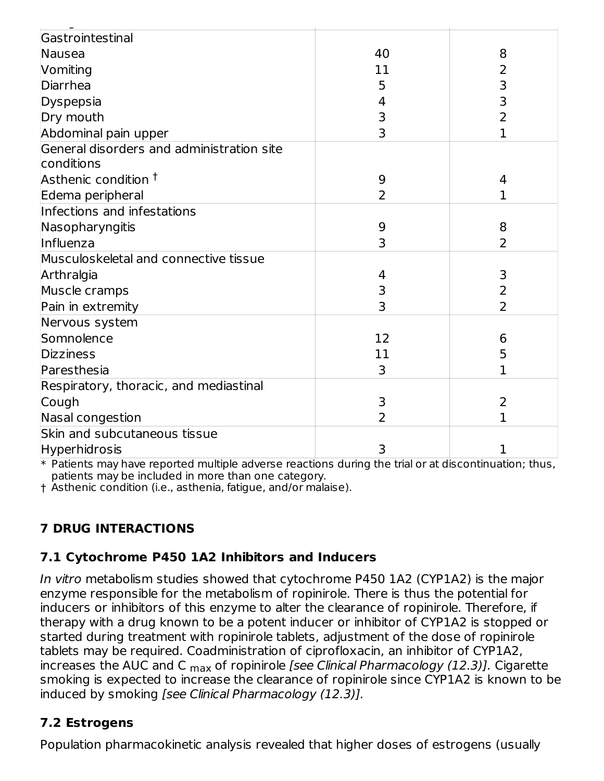| Gastrointestinal                          |    |                |
|-------------------------------------------|----|----------------|
| Nausea                                    | 40 | 8              |
| Vomiting                                  | 11 | 2              |
| Diarrhea                                  | 5  | 3              |
| Dyspepsia                                 | 4  | 3              |
| Dry mouth                                 | 3  | $\overline{2}$ |
| Abdominal pain upper                      | 3  | $\mathbf{1}$   |
| General disorders and administration site |    |                |
| conditions                                |    |                |
| Asthenic condition <sup>†</sup>           | 9  | 4              |
| Edema peripheral                          | 2  | 1              |
| Infections and infestations               |    |                |
| Nasopharyngitis                           | 9  | 8              |
| Influenza                                 | 3  | $\overline{2}$ |
| Musculoskeletal and connective tissue     |    |                |
| Arthralgia                                | 4  | 3              |
| Muscle cramps                             | 3  | $\overline{2}$ |
| Pain in extremity                         | 3  | $\overline{2}$ |
| Nervous system                            |    |                |
| Somnolence                                | 12 | 6              |
| Dizziness                                 | 11 | 5              |
| Paresthesia                               | 3  | 1              |
| Respiratory, thoracic, and mediastinal    |    |                |
| Cough                                     | 3  | 2              |
| Nasal congestion                          | 2  | 1              |
| Skin and subcutaneous tissue              |    |                |
| Hyperhidrosis                             | 3  | 1              |

 $\ast$  Patients may have reported multiple adverse reactions during the trial or at discontinuation; thus, patients may be included in more than one category.

† Asthenic condition (i.e., asthenia, fatigue, and/or malaise).

# **7 DRUG INTERACTIONS**

# **7.1 Cytochrome P450 1A2 Inhibitors and Inducers**

In vitro metabolism studies showed that cytochrome P450 1A2 (CYP1A2) is the major enzyme responsible for the metabolism of ropinirole. There is thus the potential for inducers or inhibitors of this enzyme to alter the clearance of ropinirole. Therefore, if therapy with a drug known to be a potent inducer or inhibitor of CYP1A2 is stopped or started during treatment with ropinirole tablets, adjustment of the dose of ropinirole tablets may be required. Coadministration of ciprofloxacin, an inhibitor of CYP1A2, increases the AUC and C <sub>max</sub> of ropinirole *[see Clinical Pharmacology (12.3)].* Cigarette smoking is expected to increase the clearance of ropinirole since CYP1A2 is known to be induced by smoking [see Clinical Pharmacology (12.3)].

# **7.2 Estrogens**

Population pharmacokinetic analysis revealed that higher doses of estrogens (usually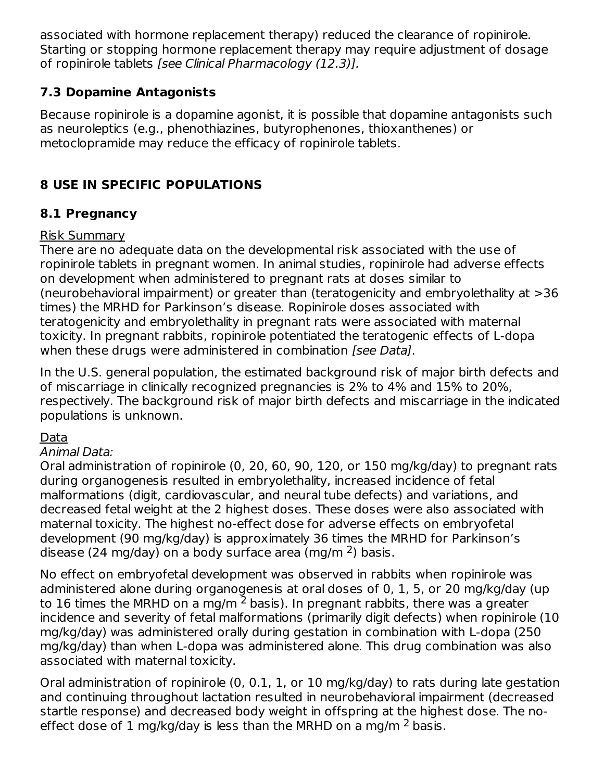associated with hormone replacement therapy) reduced the clearance of ropinirole. Starting or stopping hormone replacement therapy may require adjustment of dosage of ropinirole tablets [see Clinical Pharmacology (12.3)].

# **7.3 Dopamine Antagonists**

Because ropinirole is a dopamine agonist, it is possible that dopamine antagonists such as neuroleptics (e.g., phenothiazines, butyrophenones, thioxanthenes) or metoclopramide may reduce the efficacy of ropinirole tablets.

# **8 USE IN SPECIFIC POPULATIONS**

# **8.1 Pregnancy**

### Risk Summary

There are no adequate data on the developmental risk associated with the use of ropinirole tablets in pregnant women. In animal studies, ropinirole had adverse effects on development when administered to pregnant rats at doses similar to (neurobehavioral impairment) or greater than (teratogenicity and embryolethality at >36 times) the MRHD for Parkinson's disease. Ropinirole doses associated with teratogenicity and embryolethality in pregnant rats were associated with maternal toxicity. In pregnant rabbits, ropinirole potentiated the teratogenic effects of L-dopa when these drugs were administered in combination *[see Data]*.

In the U.S. general population, the estimated background risk of major birth defects and of miscarriage in clinically recognized pregnancies is 2% to 4% and 15% to 20%, respectively. The background risk of major birth defects and miscarriage in the indicated populations is unknown.

## Data

#### Animal Data:

Oral administration of ropinirole (0, 20, 60, 90, 120, or 150 mg/kg/day) to pregnant rats during organogenesis resulted in embryolethality, increased incidence of fetal malformations (digit, cardiovascular, and neural tube defects) and variations, and decreased fetal weight at the 2 highest doses. These doses were also associated with maternal toxicity. The highest no-effect dose for adverse effects on embryofetal development (90 mg/kg/day) is approximately 36 times the MRHD for Parkinson's disease (24 mg/day) on a body surface area (mg/m  $2$ ) basis.

No effect on embryofetal development was observed in rabbits when ropinirole was administered alone during organogenesis at oral doses of 0, 1, 5, or 20 mg/kg/day (up to 16 times the MRHD on a mg/m  $^2$  basis). In pregnant rabbits, there was a greater incidence and severity of fetal malformations (primarily digit defects) when ropinirole (10 mg/kg/day) was administered orally during gestation in combination with L-dopa (250 mg/kg/day) than when L-dopa was administered alone. This drug combination was also associated with maternal toxicity.

Oral administration of ropinirole (0, 0.1, 1, or 10 mg/kg/day) to rats during late gestation and continuing throughout lactation resulted in neurobehavioral impairment (decreased startle response) and decreased body weight in offspring at the highest dose. The noeffect dose of 1 mg/kg/day is less than the MRHD on a mg/m  $^2$  basis.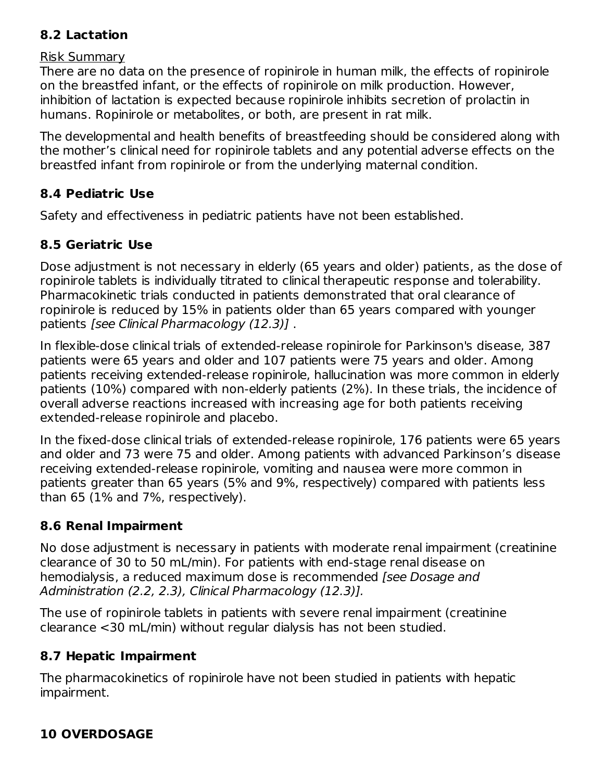# **8.2 Lactation**

#### Risk Summary

There are no data on the presence of ropinirole in human milk, the effects of ropinirole on the breastfed infant, or the effects of ropinirole on milk production. However, inhibition of lactation is expected because ropinirole inhibits secretion of prolactin in humans. Ropinirole or metabolites, or both, are present in rat milk.

The developmental and health benefits of breastfeeding should be considered along with the mother's clinical need for ropinirole tablets and any potential adverse effects on the breastfed infant from ropinirole or from the underlying maternal condition.

### **8.4 Pediatric Use**

Safety and effectiveness in pediatric patients have not been established.

# **8.5 Geriatric Use**

Dose adjustment is not necessary in elderly (65 years and older) patients, as the dose of ropinirole tablets is individually titrated to clinical therapeutic response and tolerability. Pharmacokinetic trials conducted in patients demonstrated that oral clearance of ropinirole is reduced by 15% in patients older than 65 years compared with younger patients [see Clinical Pharmacology (12.3)] .

In flexible-dose clinical trials of extended-release ropinirole for Parkinson's disease, 387 patients were 65 years and older and 107 patients were 75 years and older. Among patients receiving extended-release ropinirole, hallucination was more common in elderly patients (10%) compared with non-elderly patients (2%). In these trials, the incidence of overall adverse reactions increased with increasing age for both patients receiving extended-release ropinirole and placebo.

In the fixed-dose clinical trials of extended-release ropinirole, 176 patients were 65 years and older and 73 were 75 and older. Among patients with advanced Parkinson's disease receiving extended-release ropinirole, vomiting and nausea were more common in patients greater than 65 years (5% and 9%, respectively) compared with patients less than 65 (1% and 7%, respectively).

## **8.6 Renal Impairment**

No dose adjustment is necessary in patients with moderate renal impairment (creatinine clearance of 30 to 50 mL/min). For patients with end-stage renal disease on hemodialysis, a reduced maximum dose is recommended *[see Dosage and* Administration (2.2, 2.3), Clinical Pharmacology (12.3)].

The use of ropinirole tablets in patients with severe renal impairment (creatinine clearance <30 mL/min) without regular dialysis has not been studied.

## **8.7 Hepatic Impairment**

The pharmacokinetics of ropinirole have not been studied in patients with hepatic impairment.

## **10 OVERDOSAGE**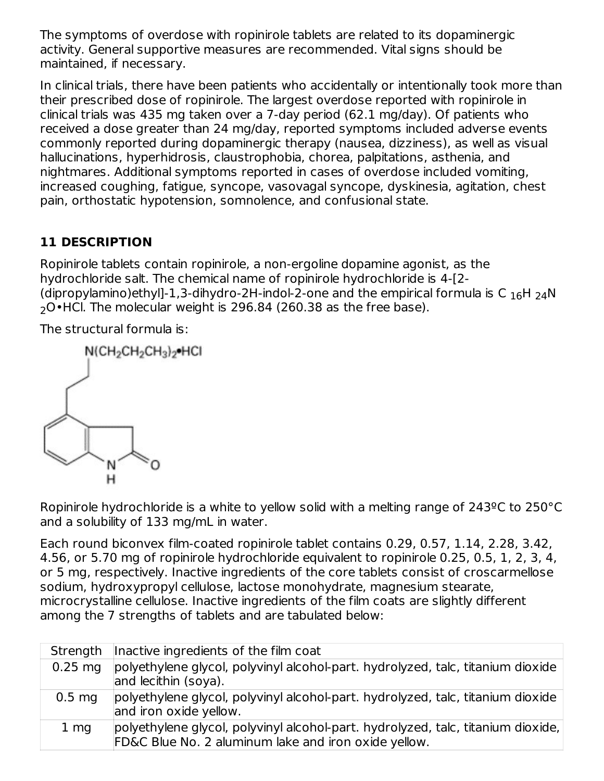The symptoms of overdose with ropinirole tablets are related to its dopaminergic activity. General supportive measures are recommended. Vital signs should be maintained, if necessary.

In clinical trials, there have been patients who accidentally or intentionally took more than their prescribed dose of ropinirole. The largest overdose reported with ropinirole in clinical trials was 435 mg taken over a 7-day period (62.1 mg/day). Of patients who received a dose greater than 24 mg/day, reported symptoms included adverse events commonly reported during dopaminergic therapy (nausea, dizziness), as well as visual hallucinations, hyperhidrosis, claustrophobia, chorea, palpitations, asthenia, and nightmares. Additional symptoms reported in cases of overdose included vomiting, increased coughing, fatigue, syncope, vasovagal syncope, dyskinesia, agitation, chest pain, orthostatic hypotension, somnolence, and confusional state.

# **11 DESCRIPTION**

Ropinirole tablets contain ropinirole, a non-ergoline dopamine agonist, as the hydrochloride salt. The chemical name of ropinirole hydrochloride is 4-[2- (dipropylamino)ethyl]-1,3-dihydro-2H-indol-2-one and the empirical formula is C  $_{16}$ H  $_{24}$ N  $\,$  $_2$ O•HCl. The molecular weight is 296.84 (260.38 as the free base).

The structural formula is:



Ropinirole hydrochloride is a white to yellow solid with a melting range of 243ºC to 250°C and a solubility of 133 mg/mL in water.

Each round biconvex film-coated ropinirole tablet contains 0.29, 0.57, 1.14, 2.28, 3.42, 4.56, or 5.70 mg of ropinirole hydrochloride equivalent to ropinirole 0.25, 0.5, 1, 2, 3, 4, or 5 mg, respectively. Inactive ingredients of the core tablets consist of croscarmellose sodium, hydroxypropyl cellulose, lactose monohydrate, magnesium stearate, microcrystalline cellulose. Inactive ingredients of the film coats are slightly different among the 7 strengths of tablets and are tabulated below:

| Strength        | Inactive ingredients of the film coat                                                                                                    |
|-----------------|------------------------------------------------------------------------------------------------------------------------------------------|
| $0.25$ mg       | polyethylene glycol, polyvinyl alcohol-part. hydrolyzed, talc, titanium dioxide<br>and lecithin (soya).                                  |
| $0.5$ mg        | polyethylene glycol, polyvinyl alcohol-part. hydrolyzed, talc, titanium dioxide<br>and iron oxide yellow.                                |
| 1 <sub>mg</sub> | polyethylene glycol, polyvinyl alcohol-part. hydrolyzed, talc, titanium dioxide,<br>FD&C Blue No. 2 aluminum lake and iron oxide yellow. |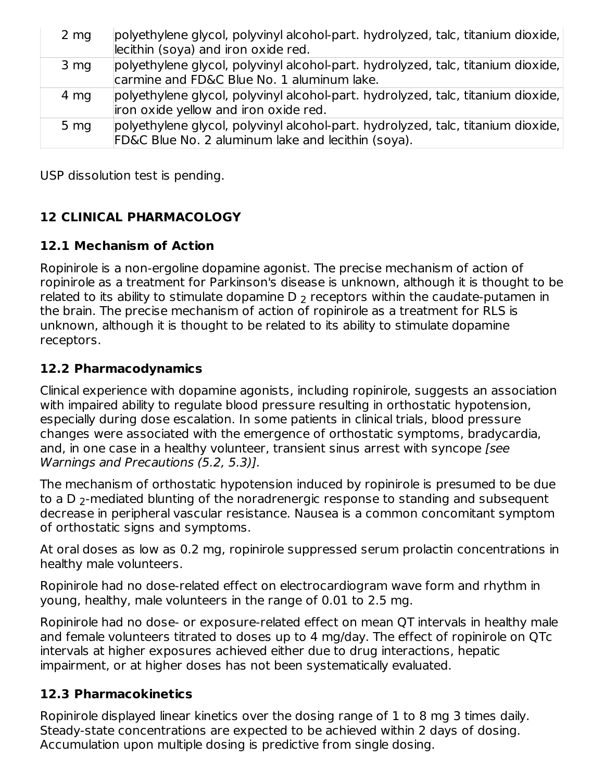| $2 \, \text{mg}$ | polyethylene glycol, polyvinyl alcohol-part. hydrolyzed, talc, titanium dioxide,<br>lecithin (soya) and iron oxide red.                |
|------------------|----------------------------------------------------------------------------------------------------------------------------------------|
| 3 <sub>mg</sub>  | polyethylene glycol, polyvinyl alcohol-part. hydrolyzed, talc, titanium dioxide,<br>carmine and FD&C Blue No. 1 aluminum lake.         |
| 4 mg             | polyethylene glycol, polyvinyl alcohol-part. hydrolyzed, talc, titanium dioxide,<br>iron oxide yellow and iron oxide red.              |
| 5 <sub>mg</sub>  | polyethylene glycol, polyvinyl alcohol-part. hydrolyzed, talc, titanium dioxide,<br>FD&C Blue No. 2 aluminum lake and lecithin (soya). |

USP dissolution test is pending.

# **12 CLINICAL PHARMACOLOGY**

### **12.1 Mechanism of Action**

Ropinirole is a non-ergoline dopamine agonist. The precise mechanism of action of ropinirole as a treatment for Parkinson's disease is unknown, although it is thought to be related to its ability to stimulate dopamine D  $_2$  receptors within the caudate-putamen in the brain. The precise mechanism of action of ropinirole as a treatment for RLS is unknown, although it is thought to be related to its ability to stimulate dopamine receptors.

#### **12.2 Pharmacodynamics**

Clinical experience with dopamine agonists, including ropinirole, suggests an association with impaired ability to regulate blood pressure resulting in orthostatic hypotension, especially during dose escalation. In some patients in clinical trials, blood pressure changes were associated with the emergence of orthostatic symptoms, bradycardia, and, in one case in a healthy volunteer, transient sinus arrest with syncope [see Warnings and Precautions (5.2, 5.3)].

The mechanism of orthostatic hypotension induced by ropinirole is presumed to be due to a D  $_2$ -mediated blunting of the noradrenergic response to standing and subsequent decrease in peripheral vascular resistance. Nausea is a common concomitant symptom of orthostatic signs and symptoms.

At oral doses as low as 0.2 mg, ropinirole suppressed serum prolactin concentrations in healthy male volunteers.

Ropinirole had no dose-related effect on electrocardiogram wave form and rhythm in young, healthy, male volunteers in the range of 0.01 to 2.5 mg.

Ropinirole had no dose- or exposure-related effect on mean QT intervals in healthy male and female volunteers titrated to doses up to 4 mg/day. The effect of ropinirole on QTc intervals at higher exposures achieved either due to drug interactions, hepatic impairment, or at higher doses has not been systematically evaluated.

#### **12.3 Pharmacokinetics**

Ropinirole displayed linear kinetics over the dosing range of 1 to 8 mg 3 times daily. Steady-state concentrations are expected to be achieved within 2 days of dosing. Accumulation upon multiple dosing is predictive from single dosing.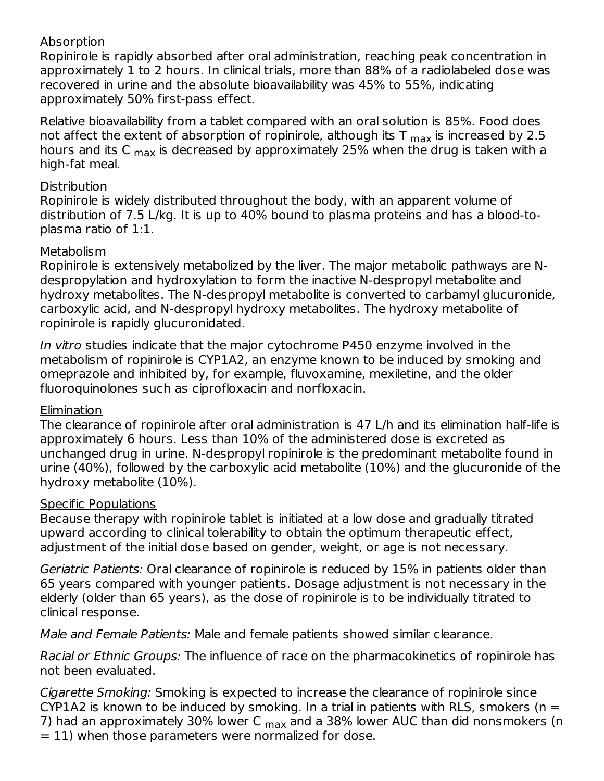#### Absorption

Ropinirole is rapidly absorbed after oral administration, reaching peak concentration in approximately 1 to 2 hours. In clinical trials, more than 88% of a radiolabeled dose was recovered in urine and the absolute bioavailability was 45% to 55%, indicating approximately 50% first-pass effect.

Relative bioavailability from a tablet compared with an oral solution is 85%. Food does not affect the extent of absorption of ropinirole, although its T  $_{\sf max}$  is increased by 2.5 hours and its C <sub>max</sub> is decreased by approximately 25% when the drug is taken with a high-fat meal.

#### **Distribution**

Ropinirole is widely distributed throughout the body, with an apparent volume of distribution of 7.5 L/kg. It is up to 40% bound to plasma proteins and has a blood-toplasma ratio of 1:1.

#### Metabolism

Ropinirole is extensively metabolized by the liver. The major metabolic pathways are Ndespropylation and hydroxylation to form the inactive N-despropyl metabolite and hydroxy metabolites. The N-despropyl metabolite is converted to carbamyl glucuronide, carboxylic acid, and N-despropyl hydroxy metabolites. The hydroxy metabolite of ropinirole is rapidly glucuronidated.

In vitro studies indicate that the major cytochrome P450 enzyme involved in the metabolism of ropinirole is CYP1A2, an enzyme known to be induced by smoking and omeprazole and inhibited by, for example, fluvoxamine, mexiletine, and the older fluoroquinolones such as ciprofloxacin and norfloxacin.

#### Elimination

The clearance of ropinirole after oral administration is 47 L/h and its elimination half-life is approximately 6 hours. Less than 10% of the administered dose is excreted as unchanged drug in urine. N-despropyl ropinirole is the predominant metabolite found in urine (40%), followed by the carboxylic acid metabolite (10%) and the glucuronide of the hydroxy metabolite (10%).

#### Specific Populations

Because therapy with ropinirole tablet is initiated at a low dose and gradually titrated upward according to clinical tolerability to obtain the optimum therapeutic effect, adjustment of the initial dose based on gender, weight, or age is not necessary.

Geriatric Patients: Oral clearance of ropinirole is reduced by 15% in patients older than 65 years compared with younger patients. Dosage adjustment is not necessary in the elderly (older than 65 years), as the dose of ropinirole is to be individually titrated to clinical response.

Male and Female Patients: Male and female patients showed similar clearance.

Racial or Ethnic Groups: The influence of race on the pharmacokinetics of ropinirole has not been evaluated.

Cigarette Smoking: Smoking is expected to increase the clearance of ropinirole since CYP1A2 is known to be induced by smoking. In a trial in patients with RLS, smokers ( $n =$ 7) had an approximately 30% lower C <sub>max</sub> and a 38% lower AUC than did nonsmokers (n  $= 11$ ) when those parameters were normalized for dose.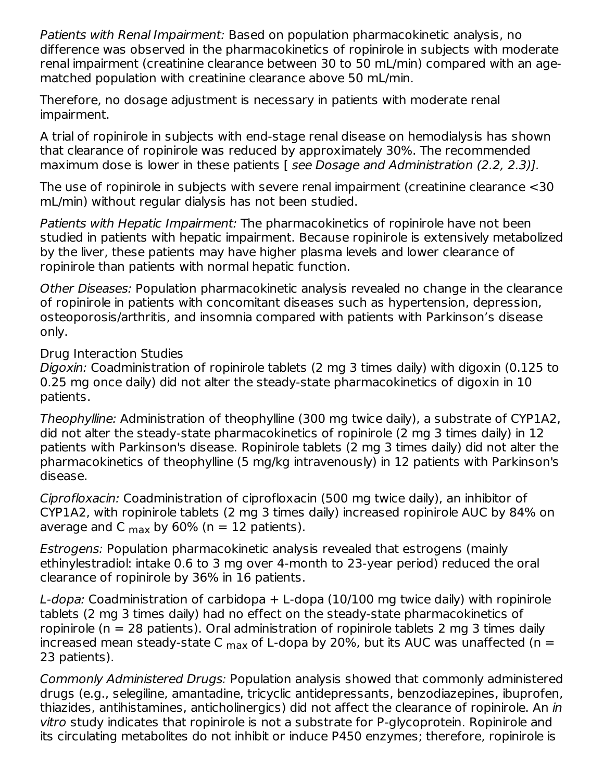Patients with Renal Impairment: Based on population pharmacokinetic analysis, no difference was observed in the pharmacokinetics of ropinirole in subjects with moderate renal impairment (creatinine clearance between 30 to 50 mL/min) compared with an agematched population with creatinine clearance above 50 mL/min.

Therefore, no dosage adjustment is necessary in patients with moderate renal impairment.

A trial of ropinirole in subjects with end-stage renal disease on hemodialysis has shown that clearance of ropinirole was reduced by approximately 30%. The recommended maximum dose is lower in these patients [ see Dosage and Administration (2.2, 2.3)].

The use of ropinirole in subjects with severe renal impairment (creatinine clearance <30 mL/min) without regular dialysis has not been studied.

Patients with Hepatic Impairment: The pharmacokinetics of ropinirole have not been studied in patients with hepatic impairment. Because ropinirole is extensively metabolized by the liver, these patients may have higher plasma levels and lower clearance of ropinirole than patients with normal hepatic function.

Other Diseases: Population pharmacokinetic analysis revealed no change in the clearance of ropinirole in patients with concomitant diseases such as hypertension, depression, osteoporosis/arthritis, and insomnia compared with patients with Parkinson's disease only.

#### Drug Interaction Studies

Digoxin: Coadministration of ropinirole tablets (2 mg 3 times daily) with digoxin (0.125 to 0.25 mg once daily) did not alter the steady-state pharmacokinetics of digoxin in 10 patients.

Theophylline: Administration of theophylline (300 mg twice daily), a substrate of CYP1A2, did not alter the steady-state pharmacokinetics of ropinirole (2 mg 3 times daily) in 12 patients with Parkinson's disease. Ropinirole tablets (2 mg 3 times daily) did not alter the pharmacokinetics of theophylline (5 mg/kg intravenously) in 12 patients with Parkinson's disease.

Ciprofloxacin: Coadministration of ciprofloxacin (500 mg twice daily), an inhibitor of CYP1A2, with ropinirole tablets (2 mg 3 times daily) increased ropinirole AUC by 84% on average and C  $_{\rm max}$  by 60% (n = 12 patients).

Estrogens: Population pharmacokinetic analysis revealed that estrogens (mainly ethinylestradiol: intake 0.6 to 3 mg over 4-month to 23-year period) reduced the oral clearance of ropinirole by 36% in 16 patients.

L-dopa: Coadministration of carbidopa + L-dopa (10/100 mg twice daily) with ropinirole tablets (2 mg 3 times daily) had no effect on the steady-state pharmacokinetics of ropinirole ( $n = 28$  patients). Oral administration of ropinirole tablets 2 mg 3 times daily increased mean steady-state C  $_{\sf max}$  of L-dopa by 20%, but its AUC was unaffected (n = 23 patients).

Commonly Administered Drugs: Population analysis showed that commonly administered drugs (e.g., selegiline, amantadine, tricyclic antidepressants, benzodiazepines, ibuprofen, thiazides, antihistamines, anticholinergics) did not affect the clearance of ropinirole. An in vitro study indicates that ropinirole is not a substrate for P-glycoprotein. Ropinirole and its circulating metabolites do not inhibit or induce P450 enzymes; therefore, ropinirole is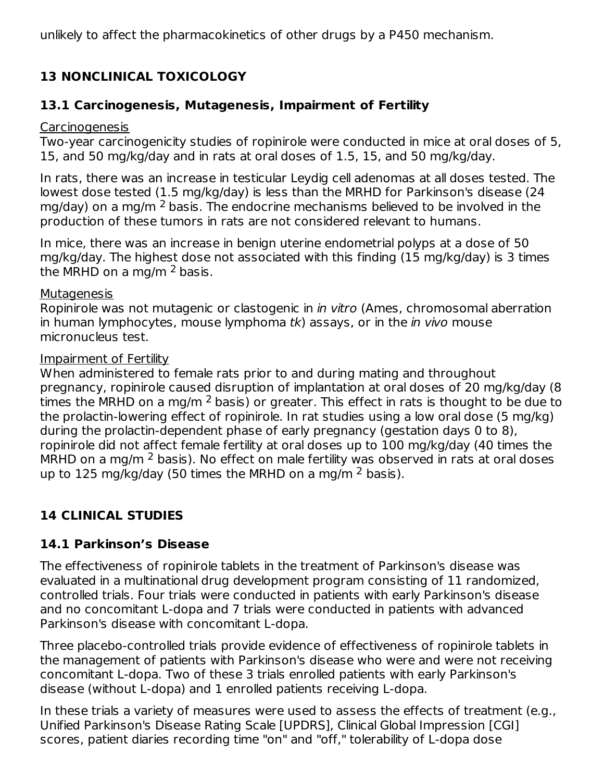unlikely to affect the pharmacokinetics of other drugs by a P450 mechanism.

# **13 NONCLINICAL TOXICOLOGY**

### **13.1 Carcinogenesis, Mutagenesis, Impairment of Fertility**

#### Carcinogenesis

Two-year carcinogenicity studies of ropinirole were conducted in mice at oral doses of 5, 15, and 50 mg/kg/day and in rats at oral doses of 1.5, 15, and 50 mg/kg/day.

In rats, there was an increase in testicular Leydig cell adenomas at all doses tested. The lowest dose tested (1.5 mg/kg/day) is less than the MRHD for Parkinson's disease (24 mg/day) on a mg/m  $^2$  basis. The endocrine mechanisms believed to be involved in the production of these tumors in rats are not considered relevant to humans.

In mice, there was an increase in benign uterine endometrial polyps at a dose of 50 mg/kg/day. The highest dose not associated with this finding (15 mg/kg/day) is 3 times the MRHD on a mg/m  $^2$  basis.

#### **Mutagenesis**

Ropinirole was not mutagenic or clastogenic in in vitro (Ames, chromosomal aberration in human lymphocytes, mouse lymphoma  $tk$ ) assays, or in the *in vivo* mouse micronucleus test.

#### Impairment of Fertility

When administered to female rats prior to and during mating and throughout pregnancy, ropinirole caused disruption of implantation at oral doses of 20 mg/kg/day (8 times the MRHD on a mg/m <sup>2</sup> basis) or greater. This effect in rats is thought to be due to the prolactin-lowering effect of ropinirole. In rat studies using a low oral dose (5 mg/kg) during the prolactin-dependent phase of early pregnancy (gestation days 0 to 8), ropinirole did not affect female fertility at oral doses up to 100 mg/kg/day (40 times the MRHD on a mg/m  $^2$  basis). No effect on male fertility was observed in rats at oral doses up to 125 mg/kg/day (50 times the MRHD on a mg/m  $^2$  basis).

## **14 CLINICAL STUDIES**

## **14.1 Parkinson's Disease**

The effectiveness of ropinirole tablets in the treatment of Parkinson's disease was evaluated in a multinational drug development program consisting of 11 randomized, controlled trials. Four trials were conducted in patients with early Parkinson's disease and no concomitant L-dopa and 7 trials were conducted in patients with advanced Parkinson's disease with concomitant L-dopa.

Three placebo-controlled trials provide evidence of effectiveness of ropinirole tablets in the management of patients with Parkinson's disease who were and were not receiving concomitant L-dopa. Two of these 3 trials enrolled patients with early Parkinson's disease (without L-dopa) and 1 enrolled patients receiving L-dopa.

In these trials a variety of measures were used to assess the effects of treatment (e.g., Unified Parkinson's Disease Rating Scale [UPDRS], Clinical Global Impression [CGI] scores, patient diaries recording time "on" and "off," tolerability of L-dopa dose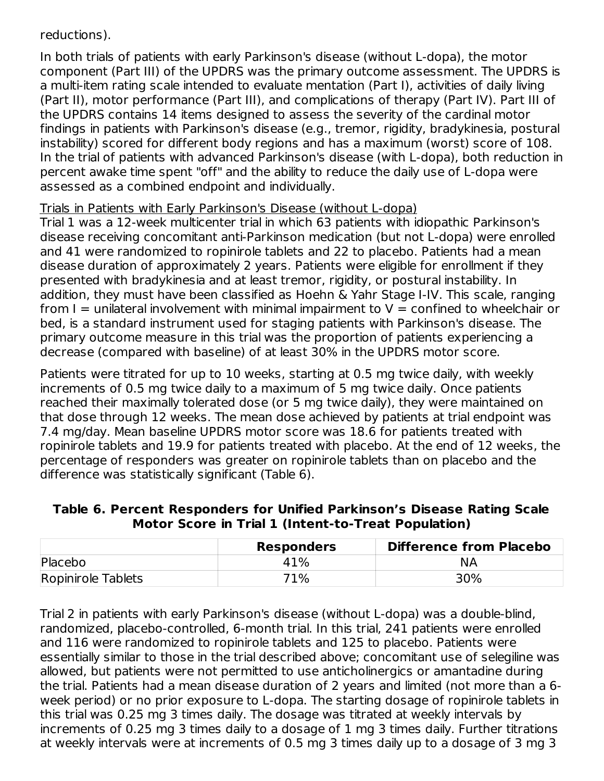#### reductions).

In both trials of patients with early Parkinson's disease (without L-dopa), the motor component (Part III) of the UPDRS was the primary outcome assessment. The UPDRS is a multi-item rating scale intended to evaluate mentation (Part I), activities of daily living (Part II), motor performance (Part III), and complications of therapy (Part IV). Part III of the UPDRS contains 14 items designed to assess the severity of the cardinal motor findings in patients with Parkinson's disease (e.g., tremor, rigidity, bradykinesia, postural instability) scored for different body regions and has a maximum (worst) score of 108. In the trial of patients with advanced Parkinson's disease (with L-dopa), both reduction in percent awake time spent "off" and the ability to reduce the daily use of L-dopa were assessed as a combined endpoint and individually.

#### Trials in Patients with Early Parkinson's Disease (without L-dopa)

Trial 1 was a 12-week multicenter trial in which 63 patients with idiopathic Parkinson's disease receiving concomitant anti-Parkinson medication (but not L-dopa) were enrolled and 41 were randomized to ropinirole tablets and 22 to placebo. Patients had a mean disease duration of approximately 2 years. Patients were eligible for enrollment if they presented with bradykinesia and at least tremor, rigidity, or postural instability. In addition, they must have been classified as Hoehn & Yahr Stage I-IV. This scale, ranging from  $I =$  unilateral involvement with minimal impairment to  $V =$  confined to wheelchair or bed, is a standard instrument used for staging patients with Parkinson's disease. The primary outcome measure in this trial was the proportion of patients experiencing a decrease (compared with baseline) of at least 30% in the UPDRS motor score.

Patients were titrated for up to 10 weeks, starting at 0.5 mg twice daily, with weekly increments of 0.5 mg twice daily to a maximum of 5 mg twice daily. Once patients reached their maximally tolerated dose (or 5 mg twice daily), they were maintained on that dose through 12 weeks. The mean dose achieved by patients at trial endpoint was 7.4 mg/day. Mean baseline UPDRS motor score was 18.6 for patients treated with ropinirole tablets and 19.9 for patients treated with placebo. At the end of 12 weeks, the percentage of responders was greater on ropinirole tablets than on placebo and the difference was statistically significant (Table 6).

| Table 6. Percent Responders for Unified Parkinson's Disease Rating Scale |  |
|--------------------------------------------------------------------------|--|
| Motor Score in Trial 1 (Intent-to-Treat Population)                      |  |

|                    | <b>Responders</b> | <b>Difference from Placebo</b> |
|--------------------|-------------------|--------------------------------|
| Placebo            | 41%               | ΝA                             |
| Ropinirole Tablets | 71%               | 30%                            |

Trial 2 in patients with early Parkinson's disease (without L-dopa) was a double-blind, randomized, placebo-controlled, 6-month trial. In this trial, 241 patients were enrolled and 116 were randomized to ropinirole tablets and 125 to placebo. Patients were essentially similar to those in the trial described above; concomitant use of selegiline was allowed, but patients were not permitted to use anticholinergics or amantadine during the trial. Patients had a mean disease duration of 2 years and limited (not more than a 6 week period) or no prior exposure to L-dopa. The starting dosage of ropinirole tablets in this trial was 0.25 mg 3 times daily. The dosage was titrated at weekly intervals by increments of 0.25 mg 3 times daily to a dosage of 1 mg 3 times daily. Further titrations at weekly intervals were at increments of 0.5 mg 3 times daily up to a dosage of 3 mg 3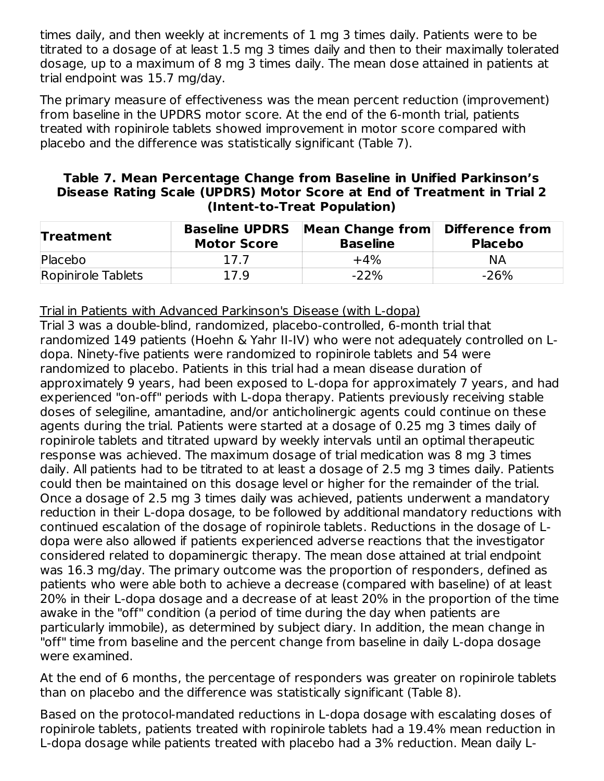times daily, and then weekly at increments of 1 mg 3 times daily. Patients were to be titrated to a dosage of at least 1.5 mg 3 times daily and then to their maximally tolerated dosage, up to a maximum of 8 mg 3 times daily. The mean dose attained in patients at trial endpoint was 15.7 mg/day.

The primary measure of effectiveness was the mean percent reduction (improvement) from baseline in the UPDRS motor score. At the end of the 6-month trial, patients treated with ropinirole tablets showed improvement in motor score compared with placebo and the difference was statistically significant (Table 7).

| Table 7. Mean Percentage Change from Baseline in Unified Parkinson's    |
|-------------------------------------------------------------------------|
| Disease Rating Scale (UPDRS) Motor Score at End of Treatment in Trial 2 |
| (Intent-to-Treat Population)                                            |

| <b>Treatment</b>   | <b>Baseline UPDRS</b><br><b>Motor Score</b> | Mean Change from<br><b>Baseline</b> | Difference from<br><b>Placebo</b> |  |
|--------------------|---------------------------------------------|-------------------------------------|-----------------------------------|--|
| Placebo            | 17.7                                        | $+4\%$                              | <b>NA</b>                         |  |
| Ropinirole Tablets | 17.9                                        | $-22%$                              | $-26%$                            |  |

Trial in Patients with Advanced Parkinson's Disease (with L-dopa)

Trial 3 was a double-blind, randomized, placebo-controlled, 6-month trial that randomized 149 patients (Hoehn & Yahr II-IV) who were not adequately controlled on Ldopa. Ninety-five patients were randomized to ropinirole tablets and 54 were randomized to placebo. Patients in this trial had a mean disease duration of approximately 9 years, had been exposed to L-dopa for approximately 7 years, and had experienced "on-off" periods with L-dopa therapy. Patients previously receiving stable doses of selegiline, amantadine, and/or anticholinergic agents could continue on these agents during the trial. Patients were started at a dosage of 0.25 mg 3 times daily of ropinirole tablets and titrated upward by weekly intervals until an optimal therapeutic response was achieved. The maximum dosage of trial medication was 8 mg 3 times daily. All patients had to be titrated to at least a dosage of 2.5 mg 3 times daily. Patients could then be maintained on this dosage level or higher for the remainder of the trial. Once a dosage of 2.5 mg 3 times daily was achieved, patients underwent a mandatory reduction in their L-dopa dosage, to be followed by additional mandatory reductions with continued escalation of the dosage of ropinirole tablets. Reductions in the dosage of Ldopa were also allowed if patients experienced adverse reactions that the investigator considered related to dopaminergic therapy. The mean dose attained at trial endpoint was 16.3 mg/day. The primary outcome was the proportion of responders, defined as patients who were able both to achieve a decrease (compared with baseline) of at least 20% in their L-dopa dosage and a decrease of at least 20% in the proportion of the time awake in the "off" condition (a period of time during the day when patients are particularly immobile), as determined by subject diary. In addition, the mean change in "off" time from baseline and the percent change from baseline in daily L-dopa dosage were examined.

At the end of 6 months, the percentage of responders was greater on ropinirole tablets than on placebo and the difference was statistically significant (Table 8).

Based on the protocol-mandated reductions in L-dopa dosage with escalating doses of ropinirole tablets, patients treated with ropinirole tablets had a 19.4% mean reduction in L-dopa dosage while patients treated with placebo had a 3% reduction. Mean daily L-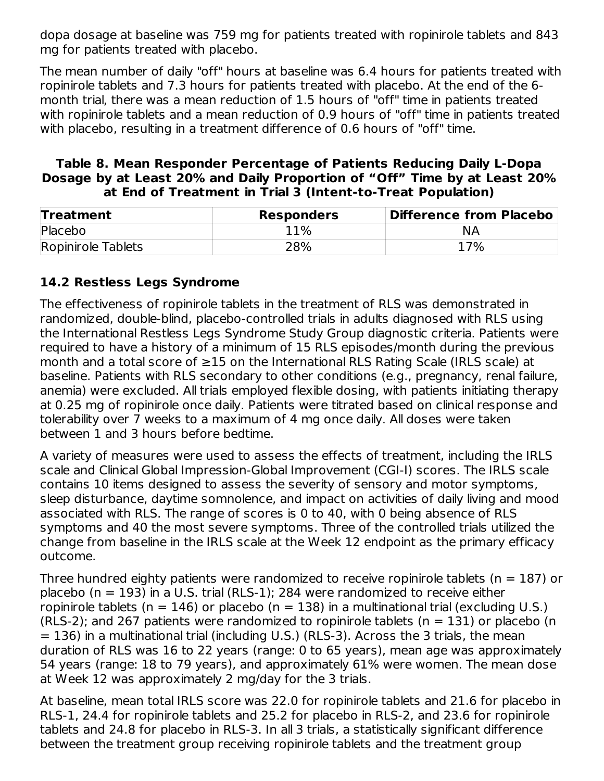dopa dosage at baseline was 759 mg for patients treated with ropinirole tablets and 843 mg for patients treated with placebo.

The mean number of daily "off" hours at baseline was 6.4 hours for patients treated with ropinirole tablets and 7.3 hours for patients treated with placebo. At the end of the 6 month trial, there was a mean reduction of 1.5 hours of "off" time in patients treated with ropinirole tablets and a mean reduction of 0.9 hours of "off" time in patients treated with placebo, resulting in a treatment difference of 0.6 hours of "off" time.

#### **Table 8. Mean Responder Percentage of Patients Reducing Daily L-Dopa Dosage by at Least 20% and Daily Proportion of "Off" Time by at Least 20% at End of Treatment in Trial 3 (Intent-to-Treat Population)**

| <b>Treatment</b>   | <b>Responders</b> | Difference from Placebo |
|--------------------|-------------------|-------------------------|
| Placebo            | 11%               | ΝA                      |
| Ropinirole Tablets | 28%               | 17%                     |

## **14.2 Restless Legs Syndrome**

The effectiveness of ropinirole tablets in the treatment of RLS was demonstrated in randomized, double-blind, placebo-controlled trials in adults diagnosed with RLS using the International Restless Legs Syndrome Study Group diagnostic criteria. Patients were required to have a history of a minimum of 15 RLS episodes/month during the previous month and a total score of ≥15 on the International RLS Rating Scale (IRLS scale) at baseline. Patients with RLS secondary to other conditions (e.g., pregnancy, renal failure, anemia) were excluded. All trials employed flexible dosing, with patients initiating therapy at 0.25 mg of ropinirole once daily. Patients were titrated based on clinical response and tolerability over 7 weeks to a maximum of 4 mg once daily. All doses were taken between 1 and 3 hours before bedtime.

A variety of measures were used to assess the effects of treatment, including the IRLS scale and Clinical Global Impression-Global Improvement (CGI-I) scores. The IRLS scale contains 10 items designed to assess the severity of sensory and motor symptoms, sleep disturbance, daytime somnolence, and impact on activities of daily living and mood associated with RLS. The range of scores is 0 to 40, with 0 being absence of RLS symptoms and 40 the most severe symptoms. Three of the controlled trials utilized the change from baseline in the IRLS scale at the Week 12 endpoint as the primary efficacy outcome.

Three hundred eighty patients were randomized to receive ropinirole tablets ( $n = 187$ ) or placebo ( $n = 193$ ) in a U.S. trial (RLS-1); 284 were randomized to receive either ropinirole tablets (n = 146) or placebo (n = 138) in a multinational trial (excluding U.S.) (RLS-2); and 267 patients were randomized to ropinirole tablets ( $n = 131$ ) or placebo (n  $= 136$ ) in a multinational trial (including U.S.) (RLS-3). Across the 3 trials, the mean duration of RLS was 16 to 22 years (range: 0 to 65 years), mean age was approximately 54 years (range: 18 to 79 years), and approximately 61% were women. The mean dose at Week 12 was approximately 2 mg/day for the 3 trials.

At baseline, mean total IRLS score was 22.0 for ropinirole tablets and 21.6 for placebo in RLS-1, 24.4 for ropinirole tablets and 25.2 for placebo in RLS-2, and 23.6 for ropinirole tablets and 24.8 for placebo in RLS-3. In all 3 trials, a statistically significant difference between the treatment group receiving ropinirole tablets and the treatment group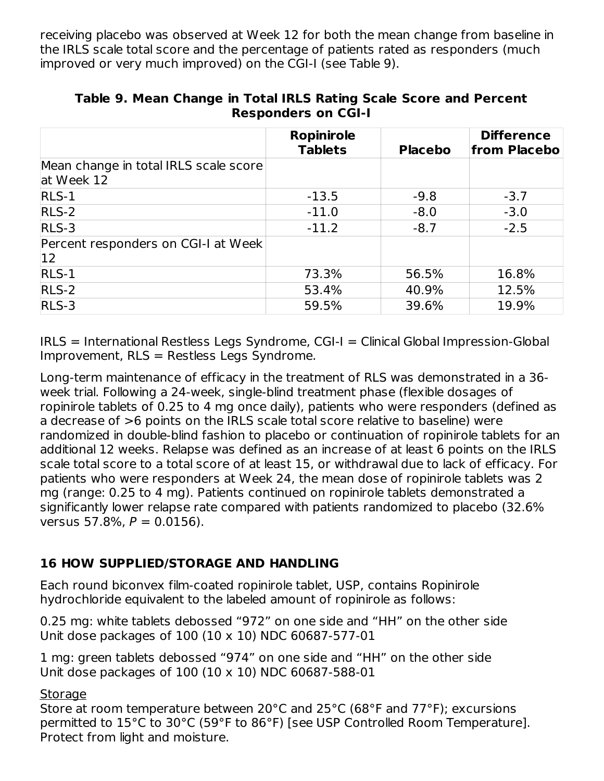receiving placebo was observed at Week 12 for both the mean change from baseline in the IRLS scale total score and the percentage of patients rated as responders (much improved or very much improved) on the CGI-I (see Table 9).

|                                                     | <b>Ropinirole</b><br><b>Tablets</b> | <b>Placebo</b> | <b>Difference</b><br>from Placebo |
|-----------------------------------------------------|-------------------------------------|----------------|-----------------------------------|
| Mean change in total IRLS scale score<br>at Week 12 |                                     |                |                                   |
| $RLS-1$                                             | $-13.5$                             | $-9.8$         | $-3.7$                            |
| $RLS-2$                                             | $-11.0$                             | $-8.0$         | $-3.0$                            |
| $RLS-3$                                             | $-11.2$                             | $-8.7$         | $-2.5$                            |
| Percent responders on CGI-I at Week<br>$12$         |                                     |                |                                   |
| $RLS-1$                                             | 73.3%                               | 56.5%          | 16.8%                             |
| $RLS-2$                                             | 53.4%                               | 40.9%          | 12.5%                             |
| $RLS-3$                                             | 59.5%                               | 39.6%          | 19.9%                             |

**Table 9. Mean Change in Total IRLS Rating Scale Score and Percent Responders on CGI-I**

IRLS = International Restless Legs Syndrome, CGI-I = Clinical Global Impression-Global Improvement, RLS = Restless Legs Syndrome.

Long-term maintenance of efficacy in the treatment of RLS was demonstrated in a 36 week trial. Following a 24-week, single-blind treatment phase (flexible dosages of ropinirole tablets of 0.25 to 4 mg once daily), patients who were responders (defined as a decrease of >6 points on the IRLS scale total score relative to baseline) were randomized in double-blind fashion to placebo or continuation of ropinirole tablets for an additional 12 weeks. Relapse was defined as an increase of at least 6 points on the IRLS scale total score to a total score of at least 15, or withdrawal due to lack of efficacy. For patients who were responders at Week 24, the mean dose of ropinirole tablets was 2 mg (range: 0.25 to 4 mg). Patients continued on ropinirole tablets demonstrated a significantly lower relapse rate compared with patients randomized to placebo (32.6% versus 57.8%,  $P = 0.0156$ ).

## **16 HOW SUPPLIED/STORAGE AND HANDLING**

Each round biconvex film-coated ropinirole tablet, USP, contains Ropinirole hydrochloride equivalent to the labeled amount of ropinirole as follows:

0.25 mg: white tablets debossed "972" on one side and "HH" on the other side Unit dose packages of 100 (10 x 10) NDC 60687-577-01

1 mg: green tablets debossed "974" on one side and "HH" on the other side Unit dose packages of 100 (10 x 10) NDC 60687-588-01

#### **Storage**

Store at room temperature between 20°C and 25°C (68°F and 77°F); excursions permitted to 15°C to 30°C (59°F to 86°F) [see USP Controlled Room Temperature]. Protect from light and moisture.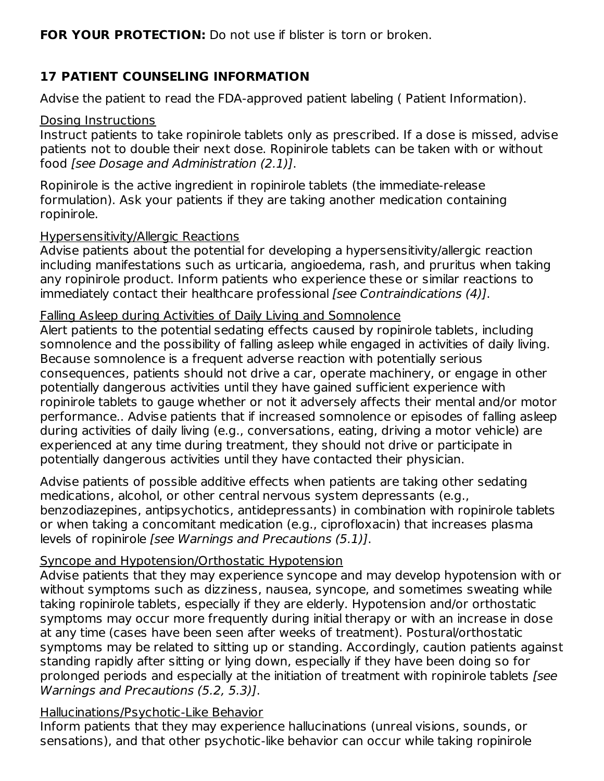**FOR YOUR PROTECTION:** Do not use if blister is torn or broken.

# **17 PATIENT COUNSELING INFORMATION**

Advise the patient to read the FDA-approved patient labeling ( Patient Information).

### Dosing Instructions

Instruct patients to take ropinirole tablets only as prescribed. If a dose is missed, advise patients not to double their next dose. Ropinirole tablets can be taken with or without food [see Dosage and Administration (2.1)].

Ropinirole is the active ingredient in ropinirole tablets (the immediate-release formulation). Ask your patients if they are taking another medication containing ropinirole.

### Hypersensitivity/Allergic Reactions

Advise patients about the potential for developing a hypersensitivity/allergic reaction including manifestations such as urticaria, angioedema, rash, and pruritus when taking any ropinirole product. Inform patients who experience these or similar reactions to immediately contact their healthcare professional [see Contraindications (4)].

### Falling Asleep during Activities of Daily Living and Somnolence

Alert patients to the potential sedating effects caused by ropinirole tablets, including somnolence and the possibility of falling asleep while engaged in activities of daily living. Because somnolence is a frequent adverse reaction with potentially serious consequences, patients should not drive a car, operate machinery, or engage in other potentially dangerous activities until they have gained sufficient experience with ropinirole tablets to gauge whether or not it adversely affects their mental and/or motor performance.. Advise patients that if increased somnolence or episodes of falling asleep during activities of daily living (e.g., conversations, eating, driving a motor vehicle) are experienced at any time during treatment, they should not drive or participate in potentially dangerous activities until they have contacted their physician.

Advise patients of possible additive effects when patients are taking other sedating medications, alcohol, or other central nervous system depressants (e.g., benzodiazepines, antipsychotics, antidepressants) in combination with ropinirole tablets or when taking a concomitant medication (e.g., ciprofloxacin) that increases plasma levels of ropinirole [see Warnings and Precautions (5.1)].

## Syncope and Hypotension/Orthostatic Hypotension

Advise patients that they may experience syncope and may develop hypotension with or without symptoms such as dizziness, nausea, syncope, and sometimes sweating while taking ropinirole tablets, especially if they are elderly. Hypotension and/or orthostatic symptoms may occur more frequently during initial therapy or with an increase in dose at any time (cases have been seen after weeks of treatment). Postural/orthostatic symptoms may be related to sitting up or standing. Accordingly, caution patients against standing rapidly after sitting or lying down, especially if they have been doing so for prolonged periods and especially at the initiation of treatment with ropinirole tablets [see Warnings and Precautions (5.2, 5.3)].

## Hallucinations/Psychotic-Like Behavior

Inform patients that they may experience hallucinations (unreal visions, sounds, or sensations), and that other psychotic-like behavior can occur while taking ropinirole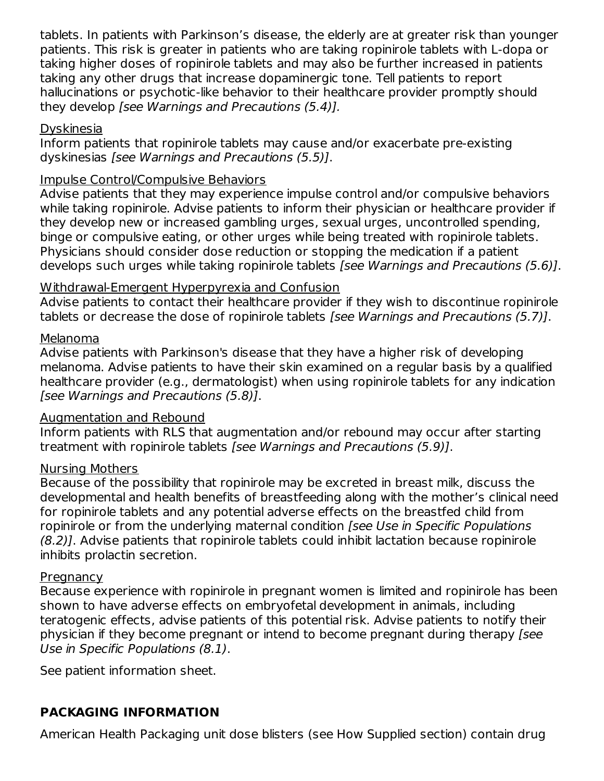tablets. In patients with Parkinson's disease, the elderly are at greater risk than younger patients. This risk is greater in patients who are taking ropinirole tablets with L-dopa or taking higher doses of ropinirole tablets and may also be further increased in patients taking any other drugs that increase dopaminergic tone. Tell patients to report hallucinations or psychotic-like behavior to their healthcare provider promptly should they develop [see Warnings and Precautions (5.4)].

#### Dyskinesia

Inform patients that ropinirole tablets may cause and/or exacerbate pre-existing dyskinesias [see Warnings and Precautions (5.5)].

#### Impulse Control/Compulsive Behaviors

Advise patients that they may experience impulse control and/or compulsive behaviors while taking ropinirole. Advise patients to inform their physician or healthcare provider if they develop new or increased gambling urges, sexual urges, uncontrolled spending, binge or compulsive eating, or other urges while being treated with ropinirole tablets. Physicians should consider dose reduction or stopping the medication if a patient develops such urges while taking ropinirole tablets [see Warnings and Precautions (5.6)].

### Withdrawal-Emergent Hyperpyrexia and Confusion

Advise patients to contact their healthcare provider if they wish to discontinue ropinirole tablets or decrease the dose of ropinirole tablets [see Warnings and Precautions (5.7)].

#### Melanoma

Advise patients with Parkinson's disease that they have a higher risk of developing melanoma. Advise patients to have their skin examined on a regular basis by a qualified healthcare provider (e.g., dermatologist) when using ropinirole tablets for any indication [see Warnings and Precautions (5.8)].

#### Augmentation and Rebound

Inform patients with RLS that augmentation and/or rebound may occur after starting treatment with ropinirole tablets [see Warnings and Precautions (5.9)].

## Nursing Mothers

Because of the possibility that ropinirole may be excreted in breast milk, discuss the developmental and health benefits of breastfeeding along with the mother's clinical need for ropinirole tablets and any potential adverse effects on the breastfed child from ropinirole or from the underlying maternal condition [see Use in Specific Populations (8.2)]. Advise patients that ropinirole tablets could inhibit lactation because ropinirole inhibits prolactin secretion.

#### **Pregnancy**

Because experience with ropinirole in pregnant women is limited and ropinirole has been shown to have adverse effects on embryofetal development in animals, including teratogenic effects, advise patients of this potential risk. Advise patients to notify their physician if they become pregnant or intend to become pregnant during therapy [see Use in Specific Populations (8.1).

See patient information sheet.

# **PACKAGING INFORMATION**

American Health Packaging unit dose blisters (see How Supplied section) contain drug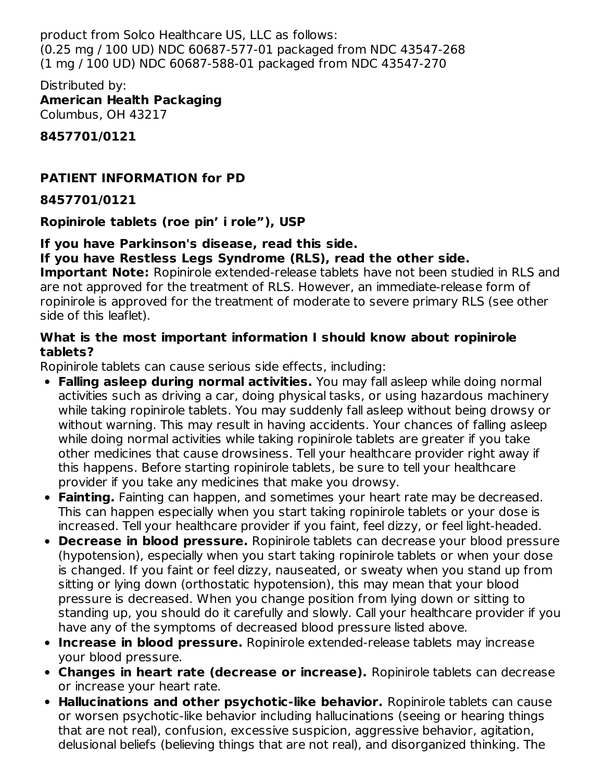product from Solco Healthcare US, LLC as follows: (0.25 mg / 100 UD) NDC 60687-577-01 packaged from NDC 43547-268 (1 mg / 100 UD) NDC 60687-588-01 packaged from NDC 43547-270

Distributed by: **American Health Packaging** Columbus, OH 43217

**8457701/0121**

## **PATIENT INFORMATION for PD**

### **8457701/0121**

**Ropinirole tablets (roe pin' i role"), USP**

#### **If you have Parkinson's disease, read this side. If you have Restless Legs Syndrome (RLS), read the other side.**

**Important Note:** Ropinirole extended-release tablets have not been studied in RLS and are not approved for the treatment of RLS. However, an immediate-release form of ropinirole is approved for the treatment of moderate to severe primary RLS (see other side of this leaflet).

### **What is the most important information I should know about ropinirole tablets?**

Ropinirole tablets can cause serious side effects, including:

- **Falling asleep during normal activities.** You may fall asleep while doing normal activities such as driving a car, doing physical tasks, or using hazardous machinery while taking ropinirole tablets. You may suddenly fall asleep without being drowsy or without warning. This may result in having accidents. Your chances of falling asleep while doing normal activities while taking ropinirole tablets are greater if you take other medicines that cause drowsiness. Tell your healthcare provider right away if this happens. Before starting ropinirole tablets, be sure to tell your healthcare provider if you take any medicines that make you drowsy.
- **Fainting.** Fainting can happen, and sometimes your heart rate may be decreased. This can happen especially when you start taking ropinirole tablets or your dose is increased. Tell your healthcare provider if you faint, feel dizzy, or feel light-headed.
- **Decrease in blood pressure.** Ropinirole tablets can decrease your blood pressure (hypotension), especially when you start taking ropinirole tablets or when your dose is changed. If you faint or feel dizzy, nauseated, or sweaty when you stand up from sitting or lying down (orthostatic hypotension), this may mean that your blood pressure is decreased. When you change position from lying down or sitting to standing up, you should do it carefully and slowly. Call your healthcare provider if you have any of the symptoms of decreased blood pressure listed above.
- **Increase in blood pressure.** Ropinirole extended-release tablets may increase your blood pressure.
- **Changes in heart rate (decrease or increase).** Ropinirole tablets can decrease or increase your heart rate.
- **Hallucinations and other psychotic-like behavior.** Ropinirole tablets can cause or worsen psychotic-like behavior including hallucinations (seeing or hearing things that are not real), confusion, excessive suspicion, aggressive behavior, agitation, delusional beliefs (believing things that are not real), and disorganized thinking. The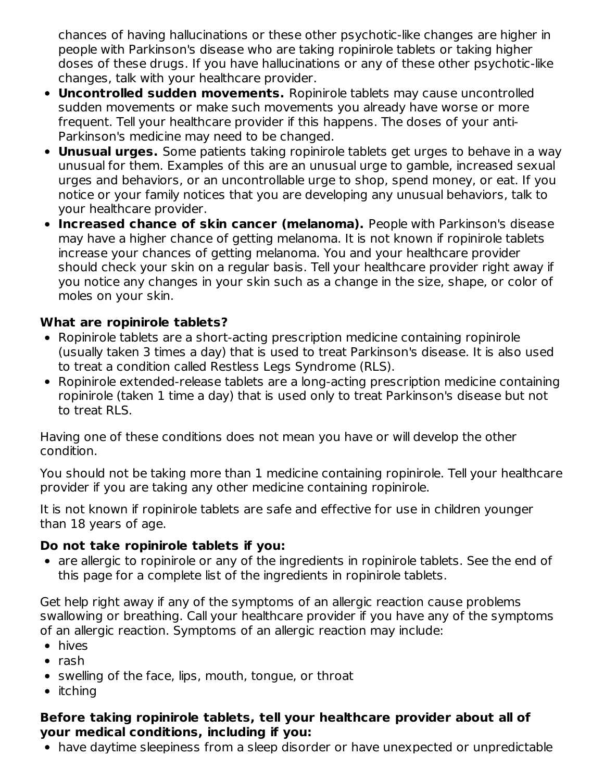chances of having hallucinations or these other psychotic-like changes are higher in people with Parkinson's disease who are taking ropinirole tablets or taking higher doses of these drugs. If you have hallucinations or any of these other psychotic-like changes, talk with your healthcare provider.

- **Uncontrolled sudden movements.** Ropinirole tablets may cause uncontrolled sudden movements or make such movements you already have worse or more frequent. Tell your healthcare provider if this happens. The doses of your anti-Parkinson's medicine may need to be changed.
- **Unusual urges.** Some patients taking ropinirole tablets get urges to behave in a way unusual for them. Examples of this are an unusual urge to gamble, increased sexual urges and behaviors, or an uncontrollable urge to shop, spend money, or eat. If you notice or your family notices that you are developing any unusual behaviors, talk to your healthcare provider.
- **Increased chance of skin cancer (melanoma).** People with Parkinson's disease may have a higher chance of getting melanoma. It is not known if ropinirole tablets increase your chances of getting melanoma. You and your healthcare provider should check your skin on a regular basis. Tell your healthcare provider right away if you notice any changes in your skin such as a change in the size, shape, or color of moles on your skin.

## **What are ropinirole tablets?**

- Ropinirole tablets are a short-acting prescription medicine containing ropinirole (usually taken 3 times a day) that is used to treat Parkinson's disease. It is also used to treat a condition called Restless Legs Syndrome (RLS).
- Ropinirole extended-release tablets are a long-acting prescription medicine containing ropinirole (taken 1 time a day) that is used only to treat Parkinson's disease but not to treat RLS.

Having one of these conditions does not mean you have or will develop the other condition.

You should not be taking more than 1 medicine containing ropinirole. Tell your healthcare provider if you are taking any other medicine containing ropinirole.

It is not known if ropinirole tablets are safe and effective for use in children younger than 18 years of age.

## **Do not take ropinirole tablets if you:**

• are allergic to ropinirole or any of the ingredients in ropinirole tablets. See the end of this page for a complete list of the ingredients in ropinirole tablets.

Get help right away if any of the symptoms of an allergic reaction cause problems swallowing or breathing. Call your healthcare provider if you have any of the symptoms of an allergic reaction. Symptoms of an allergic reaction may include:

- hives
- $\bullet$  rash
- swelling of the face, lips, mouth, tongue, or throat
- $\bullet$  itching

## **Before taking ropinirole tablets, tell your healthcare provider about all of your medical conditions, including if you:**

have daytime sleepiness from a sleep disorder or have unexpected or unpredictable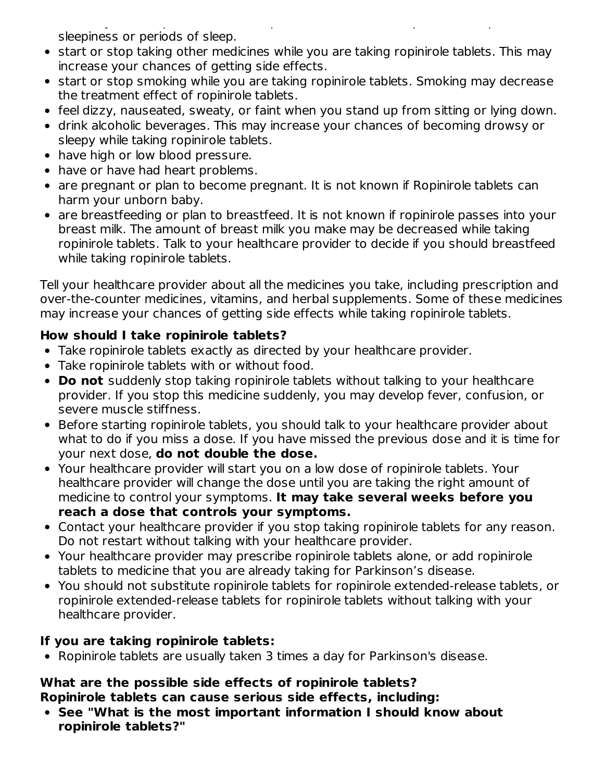have daytime sleepiness from a sleep disorder or have unexpected or unpredictable sleepiness or periods of sleep.

- start or stop taking other medicines while you are taking ropinirole tablets. This may increase your chances of getting side effects.
- start or stop smoking while you are taking ropinirole tablets. Smoking may decrease the treatment effect of ropinirole tablets.
- feel dizzy, nauseated, sweaty, or faint when you stand up from sitting or lying down.
- drink alcoholic beverages. This may increase your chances of becoming drowsy or sleepy while taking ropinirole tablets.
- have high or low blood pressure.
- have or have had heart problems.
- are pregnant or plan to become pregnant. It is not known if Ropinirole tablets can harm your unborn baby.
- are breastfeeding or plan to breastfeed. It is not known if ropinirole passes into your breast milk. The amount of breast milk you make may be decreased while taking ropinirole tablets. Talk to your healthcare provider to decide if you should breastfeed while taking ropinirole tablets.

Tell your healthcare provider about all the medicines you take, including prescription and over-the-counter medicines, vitamins, and herbal supplements. Some of these medicines may increase your chances of getting side effects while taking ropinirole tablets.

# **How should I take ropinirole tablets?**

- Take ropinirole tablets exactly as directed by your healthcare provider.
- Take ropinirole tablets with or without food.
- **Do not** suddenly stop taking ropinirole tablets without talking to your healthcare provider. If you stop this medicine suddenly, you may develop fever, confusion, or severe muscle stiffness.
- Before starting ropinirole tablets, you should talk to your healthcare provider about what to do if you miss a dose. If you have missed the previous dose and it is time for your next dose, **do not double the dose.**
- Your healthcare provider will start you on a low dose of ropinirole tablets. Your healthcare provider will change the dose until you are taking the right amount of medicine to control your symptoms. **It may take several weeks before you reach a dose that controls your symptoms.**
- Contact your healthcare provider if you stop taking ropinirole tablets for any reason. Do not restart without talking with your healthcare provider.
- Your healthcare provider may prescribe ropinirole tablets alone, or add ropinirole tablets to medicine that you are already taking for Parkinson's disease.
- You should not substitute ropinirole tablets for ropinirole extended-release tablets, or ropinirole extended-release tablets for ropinirole tablets without talking with your healthcare provider.

# **If you are taking ropinirole tablets:**

• Ropinirole tablets are usually taken 3 times a day for Parkinson's disease.

#### **What are the possible side effects of ropinirole tablets? Ropinirole tablets can cause serious side effects, including:**

**See "What is the most important information I should know about ropinirole tablets?"**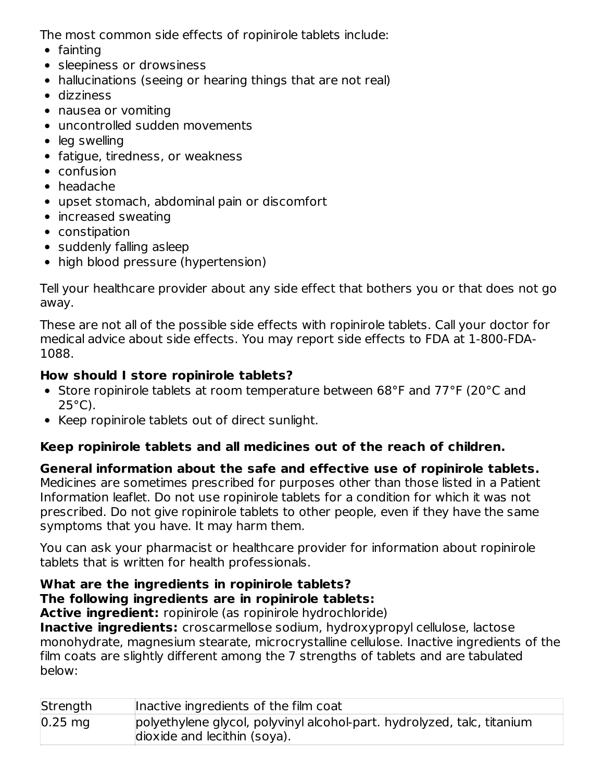The most common side effects of ropinirole tablets include:

- $\bullet$  fainting
- sleepiness or drowsiness
- hallucinations (seeing or hearing things that are not real)
- dizziness
- nausea or vomiting
- uncontrolled sudden movements
- leg swelling
- fatigue, tiredness, or weakness
- confusion
- headache
- upset stomach, abdominal pain or discomfort
- increased sweating
- constipation
- suddenly falling asleep
- high blood pressure (hypertension)

Tell your healthcare provider about any side effect that bothers you or that does not go away.

These are not all of the possible side effects with ropinirole tablets. Call your doctor for medical advice about side effects. You may report side effects to FDA at 1-800-FDA-1088.

## **How should I store ropinirole tablets?**

- Store ropinirole tablets at room temperature between 68°F and 77°F (20°C and  $25^{\circ}$ C).
- Keep ropinirole tablets out of direct sunlight.

## **Keep ropinirole tablets and all medicines out of the reach of children.**

**General information about the safe and effective use of ropinirole tablets.** Medicines are sometimes prescribed for purposes other than those listed in a Patient Information leaflet. Do not use ropinirole tablets for a condition for which it was not prescribed. Do not give ropinirole tablets to other people, even if they have the same symptoms that you have. It may harm them.

You can ask your pharmacist or healthcare provider for information about ropinirole tablets that is written for health professionals.

# **What are the ingredients in ropinirole tablets? The following ingredients are in ropinirole tablets:**

**Active ingredient:** ropinirole (as ropinirole hydrochloride)

**Inactive ingredients:** croscarmellose sodium, hydroxypropyl cellulose, lactose monohydrate, magnesium stearate, microcrystalline cellulose. Inactive ingredients of the film coats are slightly different among the 7 strengths of tablets and are tabulated below:

| Strength  | Inactive ingredients of the film coat                                                                   |
|-----------|---------------------------------------------------------------------------------------------------------|
| $0.25$ mg | polyethylene glycol, polyvinyl alcohol-part. hydrolyzed, talc, titanium<br>dioxide and lecithin (soya). |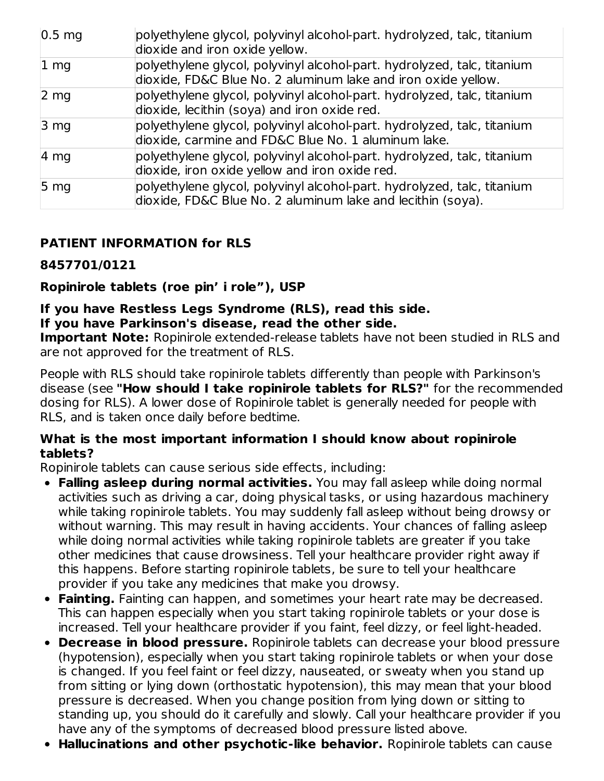| $ 0.5 \text{ mg} $ | polyethylene glycol, polyvinyl alcohol-part. hydrolyzed, talc, titanium<br>dioxide and iron oxide yellow.                                |
|--------------------|------------------------------------------------------------------------------------------------------------------------------------------|
| 1 <sub>mg</sub>    | polyethylene glycol, polyvinyl alcohol-part. hydrolyzed, talc, titanium<br>dioxide, FD&C Blue No. 2 aluminum lake and iron oxide yellow. |
| $2 \, \text{mg}$   | polyethylene glycol, polyvinyl alcohol-part. hydrolyzed, talc, titanium<br>dioxide, lecithin (soya) and iron oxide red.                  |
| $3 \, mg$          | polyethylene glycol, polyvinyl alcohol-part. hydrolyzed, talc, titanium<br>dioxide, carmine and FD&C Blue No. 1 aluminum lake.           |
| $ 4 \text{ mg} $   | polyethylene glycol, polyvinyl alcohol-part. hydrolyzed, talc, titanium<br>dioxide, iron oxide yellow and iron oxide red.                |
| $5 \, mg$          | polyethylene glycol, polyvinyl alcohol-part. hydrolyzed, talc, titanium<br>dioxide, FD&C Blue No. 2 aluminum lake and lecithin (soya).   |

## **PATIENT INFORMATION for RLS**

### **8457701/0121**

### **Ropinirole tablets (roe pin' i role"), USP**

### **If you have Restless Legs Syndrome (RLS), read this side. If you have Parkinson's disease, read the other side.**

**Important Note:** Ropinirole extended-release tablets have not been studied in RLS and are not approved for the treatment of RLS.

People with RLS should take ropinirole tablets differently than people with Parkinson's disease (see **"How should I take ropinirole tablets for RLS?"** for the recommended dosing for RLS). A lower dose of Ropinirole tablet is generally needed for people with RLS, and is taken once daily before bedtime.

#### **What is the most important information I should know about ropinirole tablets?**

Ropinirole tablets can cause serious side effects, including:

- **Falling asleep during normal activities.** You may fall asleep while doing normal activities such as driving a car, doing physical tasks, or using hazardous machinery while taking ropinirole tablets. You may suddenly fall asleep without being drowsy or without warning. This may result in having accidents. Your chances of falling asleep while doing normal activities while taking ropinirole tablets are greater if you take other medicines that cause drowsiness. Tell your healthcare provider right away if this happens. Before starting ropinirole tablets, be sure to tell your healthcare provider if you take any medicines that make you drowsy.
- **Fainting.** Fainting can happen, and sometimes your heart rate may be decreased. This can happen especially when you start taking ropinirole tablets or your dose is increased. Tell your healthcare provider if you faint, feel dizzy, or feel light-headed.
- **Decrease in blood pressure.** Ropinirole tablets can decrease your blood pressure (hypotension), especially when you start taking ropinirole tablets or when your dose is changed. If you feel faint or feel dizzy, nauseated, or sweaty when you stand up from sitting or lying down (orthostatic hypotension), this may mean that your blood pressure is decreased. When you change position from lying down or sitting to standing up, you should do it carefully and slowly. Call your healthcare provider if you have any of the symptoms of decreased blood pressure listed above.
- **Hallucinations and other psychotic-like behavior.** Ropinirole tablets can cause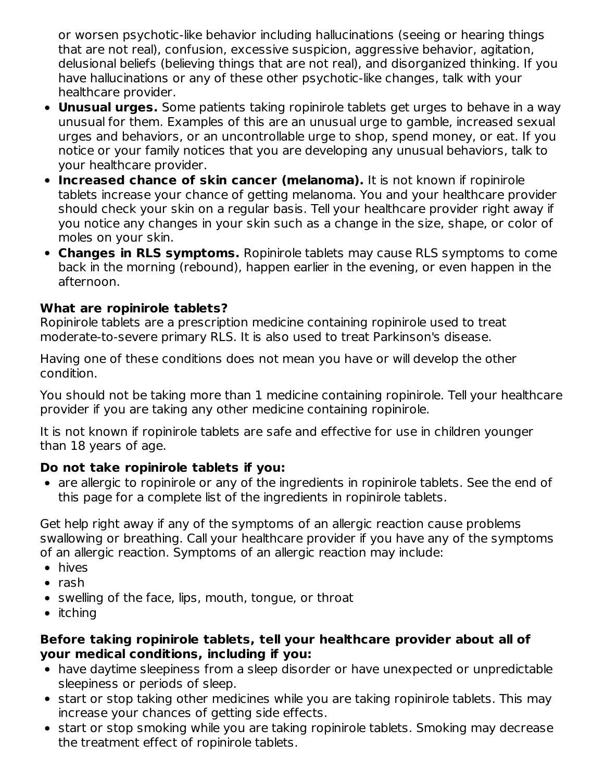or worsen psychotic-like behavior including hallucinations (seeing or hearing things that are not real), confusion, excessive suspicion, aggressive behavior, agitation, delusional beliefs (believing things that are not real), and disorganized thinking. If you have hallucinations or any of these other psychotic-like changes, talk with your healthcare provider.

- **Unusual urges.** Some patients taking ropinirole tablets get urges to behave in a way unusual for them. Examples of this are an unusual urge to gamble, increased sexual urges and behaviors, or an uncontrollable urge to shop, spend money, or eat. If you notice or your family notices that you are developing any unusual behaviors, talk to your healthcare provider.
- **Increased chance of skin cancer (melanoma).** It is not known if ropinirole tablets increase your chance of getting melanoma. You and your healthcare provider should check your skin on a regular basis. Tell your healthcare provider right away if you notice any changes in your skin such as a change in the size, shape, or color of moles on your skin.
- **Changes in RLS symptoms.** Ropinirole tablets may cause RLS symptoms to come back in the morning (rebound), happen earlier in the evening, or even happen in the afternoon.

### **What are ropinirole tablets?**

Ropinirole tablets are a prescription medicine containing ropinirole used to treat moderate-to-severe primary RLS. It is also used to treat Parkinson's disease.

Having one of these conditions does not mean you have or will develop the other condition.

You should not be taking more than 1 medicine containing ropinirole. Tell your healthcare provider if you are taking any other medicine containing ropinirole.

It is not known if ropinirole tablets are safe and effective for use in children younger than 18 years of age.

## **Do not take ropinirole tablets if you:**

are allergic to ropinirole or any of the ingredients in ropinirole tablets. See the end of this page for a complete list of the ingredients in ropinirole tablets.

Get help right away if any of the symptoms of an allergic reaction cause problems swallowing or breathing. Call your healthcare provider if you have any of the symptoms of an allergic reaction. Symptoms of an allergic reaction may include:

- hives
- $\bullet$  rash
- swelling of the face, lips, mouth, tongue, or throat
- $\bullet$  itching

#### **Before taking ropinirole tablets, tell your healthcare provider about all of your medical conditions, including if you:**

- have daytime sleepiness from a sleep disorder or have unexpected or unpredictable sleepiness or periods of sleep.
- start or stop taking other medicines while you are taking ropinirole tablets. This may increase your chances of getting side effects.
- start or stop smoking while you are taking ropinirole tablets. Smoking may decrease the treatment effect of ropinirole tablets.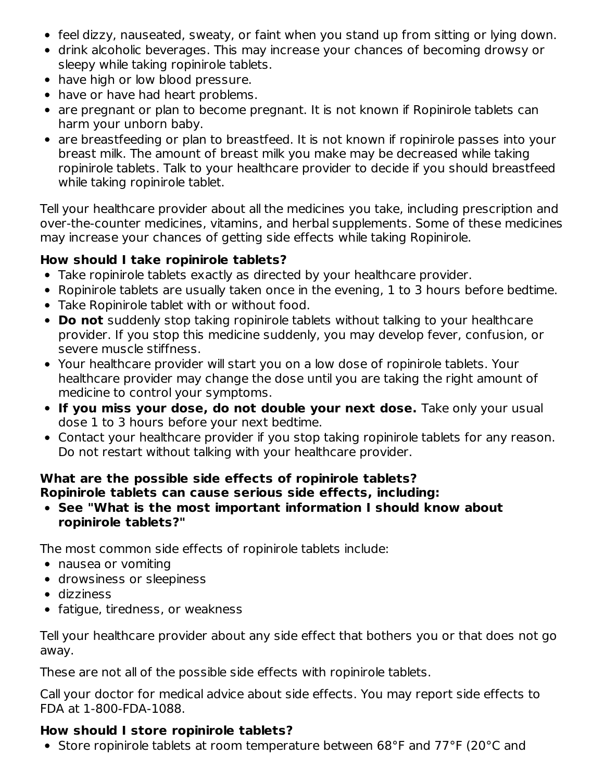- feel dizzy, nauseated, sweaty, or faint when you stand up from sitting or lying down.
- drink alcoholic beverages. This may increase your chances of becoming drowsy or sleepy while taking ropinirole tablets.
- have high or low blood pressure.
- have or have had heart problems.
- are pregnant or plan to become pregnant. It is not known if Ropinirole tablets can harm your unborn baby.
- are breastfeeding or plan to breastfeed. It is not known if ropinirole passes into your breast milk. The amount of breast milk you make may be decreased while taking ropinirole tablets. Talk to your healthcare provider to decide if you should breastfeed while taking ropinirole tablet.

Tell your healthcare provider about all the medicines you take, including prescription and over-the-counter medicines, vitamins, and herbal supplements. Some of these medicines may increase your chances of getting side effects while taking Ropinirole.

## **How should I take ropinirole tablets?**

- Take ropinirole tablets exactly as directed by your healthcare provider.
- Ropinirole tablets are usually taken once in the evening, 1 to 3 hours before bedtime.
- Take Ropinirole tablet with or without food.
- **Do not** suddenly stop taking ropinirole tablets without talking to your healthcare provider. If you stop this medicine suddenly, you may develop fever, confusion, or severe muscle stiffness.
- Your healthcare provider will start you on a low dose of ropinirole tablets. Your healthcare provider may change the dose until you are taking the right amount of medicine to control your symptoms.
- **If you miss your dose, do not double your next dose.** Take only your usual dose 1 to 3 hours before your next bedtime.
- Contact your healthcare provider if you stop taking ropinirole tablets for any reason. Do not restart without talking with your healthcare provider.

#### **What are the possible side effects of ropinirole tablets? Ropinirole tablets can cause serious side effects, including:**

**See "What is the most important information I should know about ropinirole tablets?"**

The most common side effects of ropinirole tablets include:

- nausea or vomiting
- drowsiness or sleepiness
- dizziness
- fatigue, tiredness, or weakness

Tell your healthcare provider about any side effect that bothers you or that does not go away.

These are not all of the possible side effects with ropinirole tablets.

Call your doctor for medical advice about side effects. You may report side effects to FDA at 1-800-FDA-1088.

## **How should I store ropinirole tablets?**

Store ropinirole tablets at room temperature between 68°F and 77°F (20°C and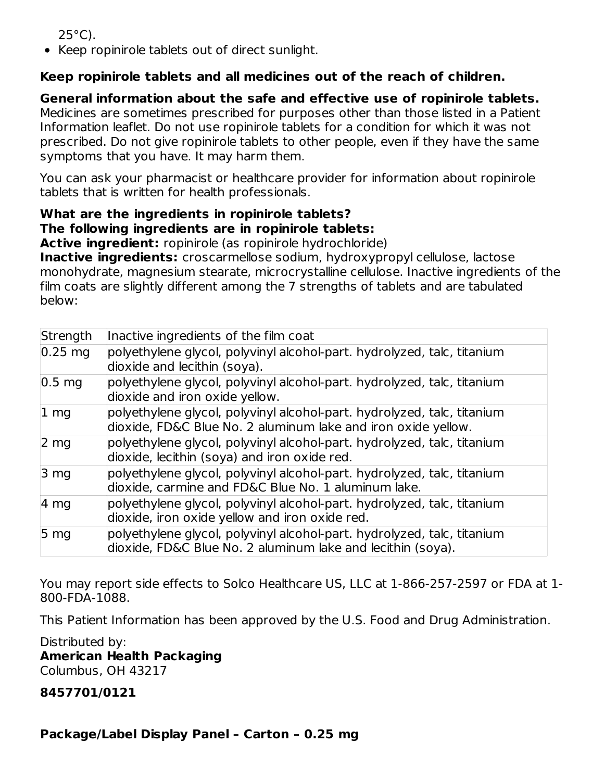$25^{\circ}$ C).

• Keep ropinirole tablets out of direct sunlight.

# **Keep ropinirole tablets and all medicines out of the reach of children.**

**General information about the safe and effective use of ropinirole tablets.** Medicines are sometimes prescribed for purposes other than those listed in a Patient Information leaflet. Do not use ropinirole tablets for a condition for which it was not prescribed. Do not give ropinirole tablets to other people, even if they have the same symptoms that you have. It may harm them.

You can ask your pharmacist or healthcare provider for information about ropinirole tablets that is written for health professionals.

### **What are the ingredients in ropinirole tablets? The following ingredients are in ropinirole tablets:**

**Active ingredient:** ropinirole (as ropinirole hydrochloride)

**Inactive ingredients:** croscarmellose sodium, hydroxypropyl cellulose, lactose monohydrate, magnesium stearate, microcrystalline cellulose. Inactive ingredients of the film coats are slightly different among the 7 strengths of tablets and are tabulated below:

| Strength           | Inactive ingredients of the film coat                                                                                                    |
|--------------------|------------------------------------------------------------------------------------------------------------------------------------------|
| $0.25$ mg          | polyethylene glycol, polyvinyl alcohol-part. hydrolyzed, talc, titanium<br>dioxide and lecithin (soya).                                  |
| $ 0.5 \text{ mg} $ | polyethylene glycol, polyvinyl alcohol-part. hydrolyzed, talc, titanium<br>dioxide and iron oxide yellow.                                |
| $ 1 \text{ mg} $   | polyethylene glycol, polyvinyl alcohol-part. hydrolyzed, talc, titanium<br>dioxide, FD&C Blue No. 2 aluminum lake and iron oxide yellow. |
| 2 <sub>mg</sub>    | polyethylene glycol, polyvinyl alcohol-part. hydrolyzed, talc, titanium<br>dioxide, lecithin (soya) and iron oxide red.                  |
| 3 <sub>mg</sub>    | polyethylene glycol, polyvinyl alcohol-part. hydrolyzed, talc, titanium<br>dioxide, carmine and FD&C Blue No. 1 aluminum lake.           |
| 4 mg               | polyethylene glycol, polyvinyl alcohol-part. hydrolyzed, talc, titanium<br>dioxide, iron oxide yellow and iron oxide red.                |
| 5 <sub>mg</sub>    | polyethylene glycol, polyvinyl alcohol-part. hydrolyzed, talc, titanium<br>dioxide, FD&C Blue No. 2 aluminum lake and lecithin (soya).   |

You may report side effects to Solco Healthcare US, LLC at 1-866-257-2597 or FDA at 1- 800-FDA-1088.

This Patient Information has been approved by the U.S. Food and Drug Administration.

Distributed by: **American Health Packaging** Columbus, OH 43217

**8457701/0121**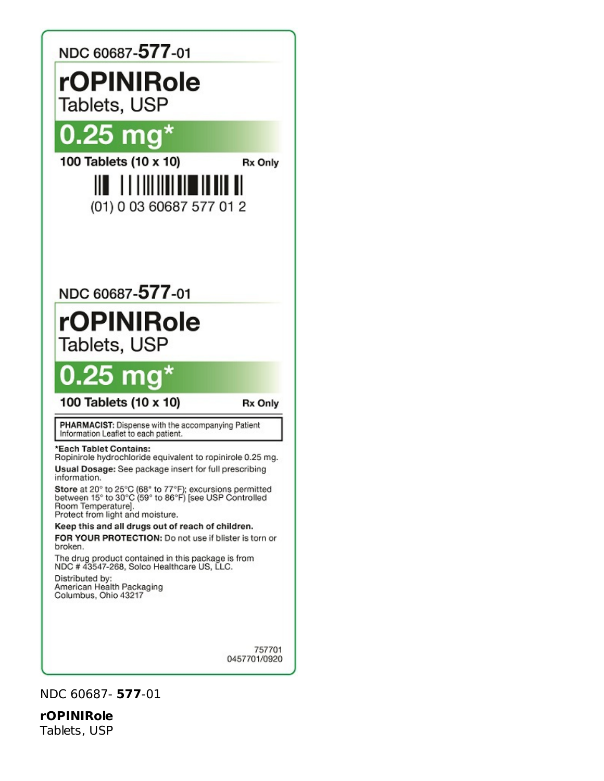

NDC 60687- **577**-01

**rOPINIRole** Tablets, USP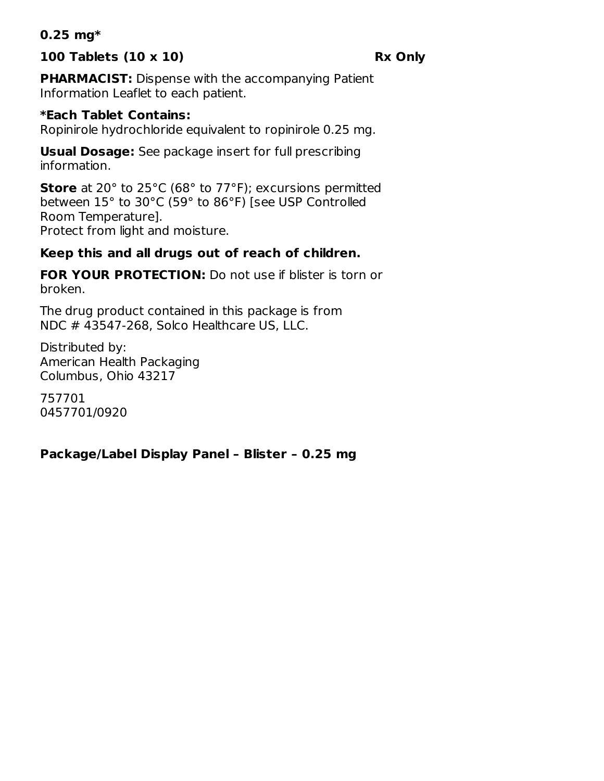#### **0.25 mg\***

### **100 Tablets (10 x 10) Rx Only**

**PHARMACIST:** Dispense with the accompanying Patient Information Leaflet to each patient.

#### **\*Each Tablet Contains:**

Ropinirole hydrochloride equivalent to ropinirole 0.25 mg.

**Usual Dosage:** See package insert for full prescribing information.

**Store** at 20° to 25°C (68° to 77°F); excursions permitted between 15° to 30°C (59° to 86°F) [see USP Controlled Room Temperature]. Protect from light and moisture.

## **Keep this and all drugs out of reach of children.**

**FOR YOUR PROTECTION:** Do not use if blister is torn or broken.

The drug product contained in this package is from NDC # 43547-268, Solco Healthcare US, LLC.

Distributed by: American Health Packaging Columbus, Ohio 43217

757701 0457701/0920

#### **Package/Label Display Panel – Blister – 0.25 mg**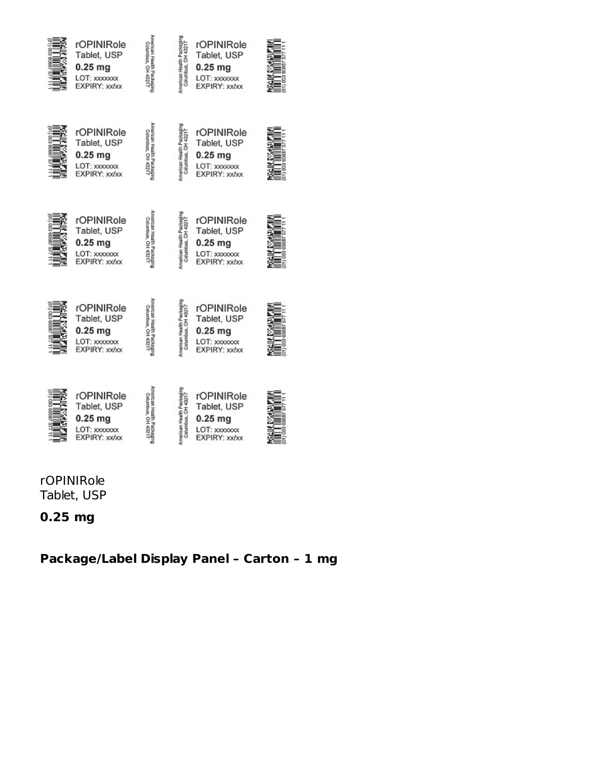

| rOPINIRole<br>Tablet, USP<br>$0.25$ mg<br>LOT: xxxxxxxx<br>EXPIRY: xx/xx | American Health Packaging<br>Columbus, OH 43217  | American Health Packaging<br>rOPINIRole<br>Columbus, CH 4321<br>Tablet, USP<br>$0.25$ mg<br>LOT: xxxxxxxx<br>EXPIRY: xx/xx |  |
|--------------------------------------------------------------------------|--------------------------------------------------|----------------------------------------------------------------------------------------------------------------------------|--|
| rOPINIRole<br>Tablet, USP<br>$0.25$ mg<br>LOT: xxxxxxx<br>EXPIRY: xx/xx  | American Health Packaging<br>Columbus, OH 43217  | American Health Packagin<br>rOPINIRole<br>Columbus, CH 4321<br>Tablet, USP<br>$0.25$ mg<br>LOT: xxxxxxx<br>EXPIRY: xx/xx   |  |
| rOPINIRole<br>Tablet, USP<br>$0.25$ mg<br>LOT: xxxxxxx<br>EXPIRY: xx/xx  | American Health Pacisaging<br>Columbus, OH 43217 | American Health Packagir<br>rOPINIRole<br>Columbus, CH 4321<br>Tablet, USP<br>$0.25$ mg<br>LOT: xxxxxxx<br>EXPIRY: xx/xx   |  |
| rOPINIRole<br>Tablet, USP<br>0.25 mg<br>LOT: xxxxxxx<br>EXPIRY: xx/xx    | merican Health Packaging<br>Columbus, OH 43217   | rOPINIRole<br>American Health Packag<br>Calumbus, CH 4321<br>Tablet, USP<br>$0.25$ mg<br>LOT: xxxxxxxx<br>EXPIRY: xx/xx    |  |

rOPINIRole Tablet, USP

**0.25 mg**

**Package/Label Display Panel – Carton – 1 mg**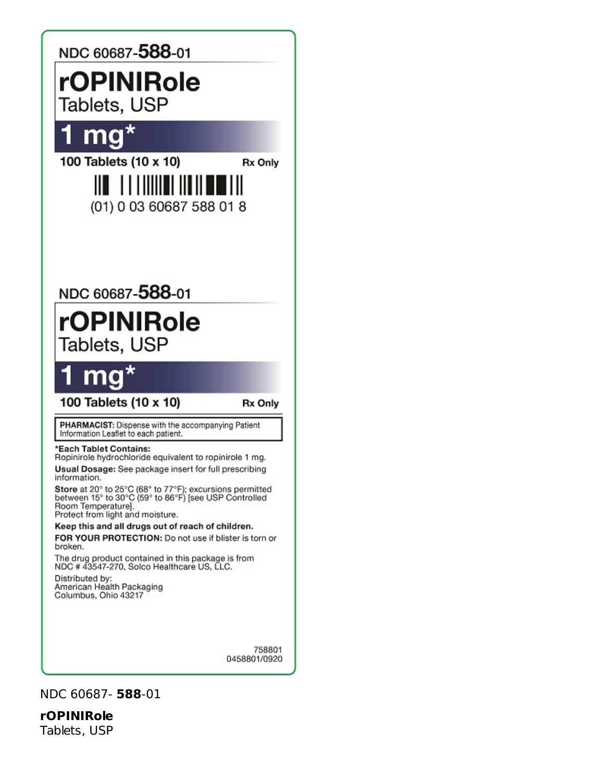

NDC 60687- **588**-01

**rOPINIRole** Tablets, USP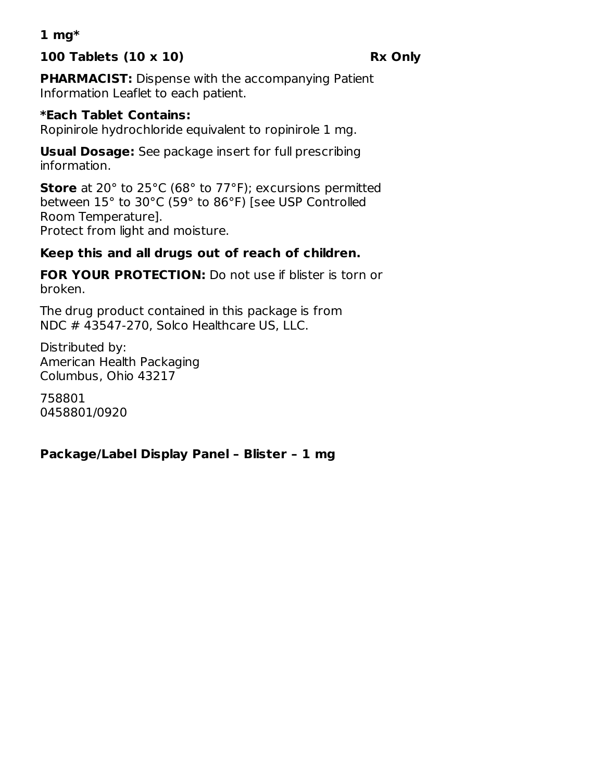## **1 mg\***

## **100 Tablets (10 x 10) Rx Only**

**PHARMACIST:** Dispense with the accompanying Patient Information Leaflet to each patient.

#### **\*Each Tablet Contains:**

Ropinirole hydrochloride equivalent to ropinirole 1 mg.

**Usual Dosage:** See package insert for full prescribing information.

**Store** at 20° to 25°C (68° to 77°F); excursions permitted between 15° to 30°C (59° to 86°F) [see USP Controlled Room Temperature]. Protect from light and moisture.

### **Keep this and all drugs out of reach of children.**

**FOR YOUR PROTECTION:** Do not use if blister is torn or broken.

The drug product contained in this package is from NDC # 43547-270, Solco Healthcare US, LLC.

Distributed by: American Health Packaging Columbus, Ohio 43217

758801 0458801/0920

#### **Package/Label Display Panel – Blister – 1 mg**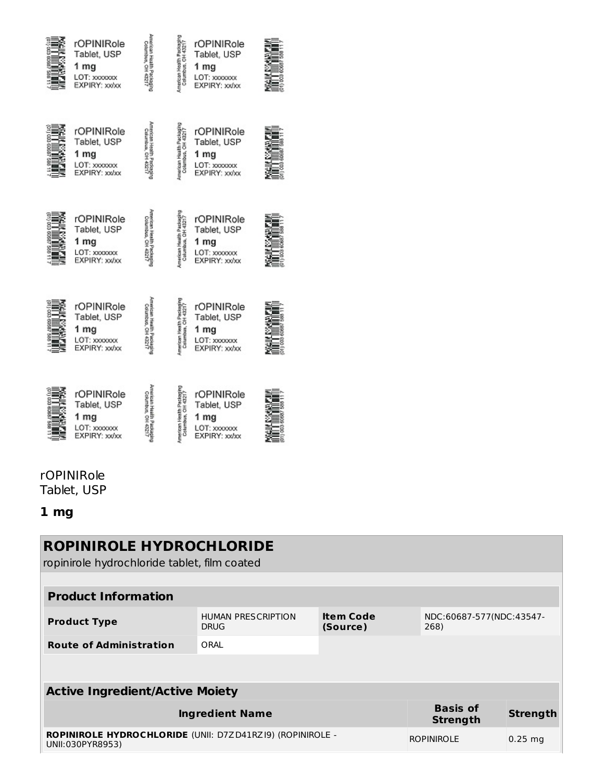

| rOPINIRole<br>Tablet, USP<br>1 mg<br>LOT: xxxxxxx<br>EXPIRY: xx/xx  | erican Health Packa<br>Columbus, OH 4521     | American Health Packagi<br>Columbus, OH 4321 | rOPINIRole<br>Tablet, USP<br>1 mg<br>LOT: xxxxxxx<br>EXPIRY: xx/xx   |  |
|---------------------------------------------------------------------|----------------------------------------------|----------------------------------------------|----------------------------------------------------------------------|--|
| rOPINIRole<br>Tablet, USP<br>1 mg<br>LOT: xxxxxxx<br>EXPIRY: xx/xx  | erican Health Packing<br>Columbus, OH 4321   | American Health Packe                        | rOPINIRole<br>Tablet, USP<br>1 mg<br>LOT: xxxxxxx<br>EXPIRY: xx/xx   |  |
| rOPINIRole<br>Tablet, USP<br>1 mg<br>LOT: xxxxxxx<br>EXPIRY: xx/xx  | merican Health Packagi<br>Columbus, OH 43217 | American Health Packag<br>Columbus, CH 43217 | rOPINIRole<br>Tablet, USP<br>1 $mg$<br>LOT: xxxxxxx<br>EXPIRY: xx/xx |  |
| rOPINIRole<br>Tablet, USP<br>1 mg<br>LOT: xxxxxxxx<br>EXPIRY: xx/xx | marican Health Packag<br>Columbus, OH 432    | Imerican Health Packag<br>Columbus, OH 432   | rOPINIRole<br>Tablet, USP<br>1 mg<br>LOT: xxxxxxx<br>EXPIRY: xx/xx   |  |

#### rOPINIRole Tablet, USP

# **1 mg**

| <b>ROPINIROLE HYDROCHLORIDE</b><br>ropinirole hydrochloride tablet, film coated |                                                                                                              |  |  |  |  |  |
|---------------------------------------------------------------------------------|--------------------------------------------------------------------------------------------------------------|--|--|--|--|--|
| <b>Product Information</b>                                                      |                                                                                                              |  |  |  |  |  |
| <b>Product Type</b>                                                             | <b>Item Code</b><br><b>HUMAN PRESCRIPTION</b><br>NDC:60687-577(NDC:43547-<br><b>DRUG</b><br>268)<br>(Source) |  |  |  |  |  |
| <b>Route of Administration</b>                                                  | ORAL                                                                                                         |  |  |  |  |  |
|                                                                                 |                                                                                                              |  |  |  |  |  |
| <b>Active Ingredient/Active Moiety</b>                                          |                                                                                                              |  |  |  |  |  |
| <b>Basis of</b><br><b>Ingredient Name</b><br><b>Strength</b><br><b>Strength</b> |                                                                                                              |  |  |  |  |  |
| UNII:030PYR8953)                                                                | ROPINIROLE HYDROCHLORIDE (UNII: D7ZD41RZI9) (ROPINIROLE -<br><b>ROPINIROLE</b><br>$0.25$ mg                  |  |  |  |  |  |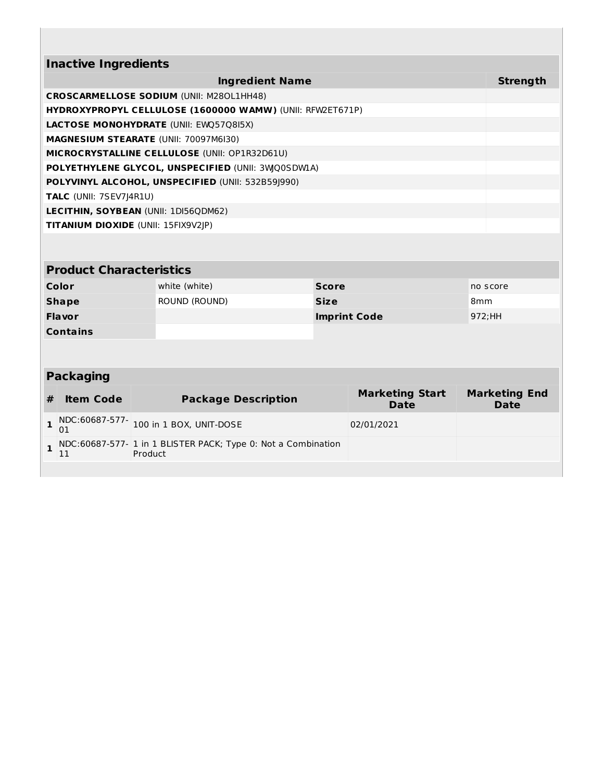| <b>Inactive Ingredients</b>          |                                                                          |                        |                                       |                                     |
|--------------------------------------|--------------------------------------------------------------------------|------------------------|---------------------------------------|-------------------------------------|
|                                      |                                                                          | <b>Ingredient Name</b> |                                       | <b>Strength</b>                     |
|                                      | <b>CROSCARMELLOSE SODIUM (UNII: M280L1HH48)</b>                          |                        |                                       |                                     |
|                                      | HYDROXYPROPYL CELLULOSE (1600000 WAMW) (UNII: RFW2ET671P)                |                        |                                       |                                     |
|                                      | <b>LACTOSE MONOHYDRATE (UNII: EWQ57Q8I5X)</b>                            |                        |                                       |                                     |
|                                      | MAGNESIUM STEARATE (UNII: 70097M6I30)                                    |                        |                                       |                                     |
|                                      | MICROCRYSTALLINE CELLULOSE (UNII: OP1R32D61U)                            |                        |                                       |                                     |
|                                      | POLYETHYLENE GLYCOL, UNSPECIFIED (UNII: 3WQ0SDWLA)                       |                        |                                       |                                     |
|                                      | POLYVINYL ALCOHOL, UNSPECIFIED (UNII: 532B59J990)                        |                        |                                       |                                     |
| TALC (UNII: 7SEV7J4R1U)              |                                                                          |                        |                                       |                                     |
|                                      | LECITHIN, SOYBEAN (UNII: 1DI56QDM62)                                     |                        |                                       |                                     |
| TITANIUM DIOXIDE (UNII: 15FIX9V2JP)  |                                                                          |                        |                                       |                                     |
|                                      |                                                                          |                        |                                       |                                     |
| <b>Product Characteristics</b>       |                                                                          |                        |                                       |                                     |
| Color                                | white (white)                                                            | <b>Score</b>           |                                       | no score                            |
| <b>Shape</b>                         | ROUND (ROUND)                                                            | <b>Size</b>            |                                       | 8 <sub>mm</sub>                     |
| <b>Flavor</b>                        |                                                                          |                        | <b>Imprint Code</b>                   | 972;HH                              |
| <b>Contains</b>                      |                                                                          |                        |                                       |                                     |
|                                      |                                                                          |                        |                                       |                                     |
| <b>Packaging</b>                     |                                                                          |                        |                                       |                                     |
| <b>Item Code</b><br>#                | <b>Package Description</b>                                               |                        | <b>Marketing Start</b><br><b>Date</b> | <b>Marketing End</b><br><b>Date</b> |
| NDC:60687-577-<br>$\mathbf{1}$<br>01 | 100 in 1 BOX, UNIT-DOSE                                                  |                        | 02/01/2021                            |                                     |
| $\mathbf{1}$<br>11                   | NDC:60687-577- 1 in 1 BLISTER PACK; Type 0: Not a Combination<br>Product |                        |                                       |                                     |
|                                      |                                                                          |                        |                                       |                                     |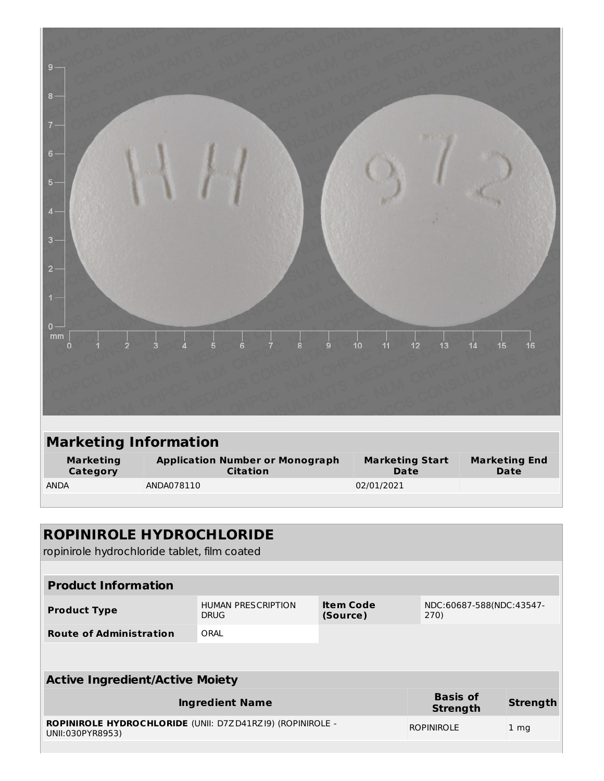| $0 -$<br>mm<br>10<br>11<br>13<br>12<br>15<br>16<br>$\overline{2}$<br>$\ddot{\mathbf{6}}$<br>9<br>14<br>5<br>8<br>3<br>$\mathbf 0$<br><b>Marketing Information</b><br><b>Marketing</b><br><b>Application Number or Monograph</b><br><b>Marketing Start</b><br><b>Marketing End</b><br><b>Citation</b><br>Category<br><b>Date</b><br><b>Date</b><br>ANDA078110<br>02/01/2021<br><b>ANDA</b> | $9 -$<br>$8 -$<br>7.<br>$6 -$<br>5 <sup>°</sup><br>$\overline{4}$<br>$3 -$<br>$2 -$<br>$1 -$ |  |  |
|-------------------------------------------------------------------------------------------------------------------------------------------------------------------------------------------------------------------------------------------------------------------------------------------------------------------------------------------------------------------------------------------|----------------------------------------------------------------------------------------------|--|--|
|                                                                                                                                                                                                                                                                                                                                                                                           |                                                                                              |  |  |
|                                                                                                                                                                                                                                                                                                                                                                                           |                                                                                              |  |  |
|                                                                                                                                                                                                                                                                                                                                                                                           |                                                                                              |  |  |
|                                                                                                                                                                                                                                                                                                                                                                                           |                                                                                              |  |  |
|                                                                                                                                                                                                                                                                                                                                                                                           |                                                                                              |  |  |

| ROPINIROLE HYDROCHLORIDE                                                        |                                          |                              |                                  |                 |  |
|---------------------------------------------------------------------------------|------------------------------------------|------------------------------|----------------------------------|-----------------|--|
| ropinirole hydrochloride tablet, film coated                                    |                                          |                              |                                  |                 |  |
|                                                                                 |                                          |                              |                                  |                 |  |
|                                                                                 |                                          |                              |                                  |                 |  |
| <b>Product Information</b>                                                      |                                          |                              |                                  |                 |  |
| <b>Product Type</b>                                                             | <b>HUMAN PRESCRIPTION</b><br><b>DRUG</b> | <b>Item Code</b><br>(Source) | NDC:60687-588(NDC:43547-<br>270) |                 |  |
| <b>Route of Administration</b>                                                  | ORAL                                     |                              |                                  |                 |  |
|                                                                                 |                                          |                              |                                  |                 |  |
|                                                                                 |                                          |                              |                                  |                 |  |
| <b>Active Ingredient/Active Moiety</b>                                          |                                          |                              |                                  |                 |  |
| <b>Basis of</b><br><b>Ingredient Name</b><br><b>Strength</b><br><b>Strength</b> |                                          |                              |                                  |                 |  |
| ROPINIROLE HYDROCHLORIDE (UNII: D7ZD41RZI9) (ROPINIROLE -<br>UNII:030PYR8953)   |                                          |                              | <b>ROPINIROLE</b>                | 1 <sub>mq</sub> |  |
|                                                                                 |                                          |                              |                                  |                 |  |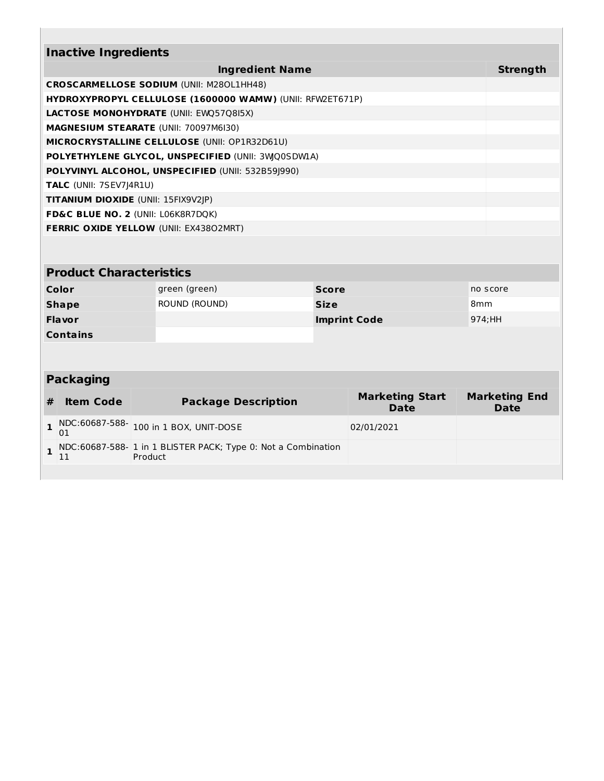| <b>Inactive Ingredients</b>                                      |                 |
|------------------------------------------------------------------|-----------------|
| <b>Ingredient Name</b>                                           | <b>Strength</b> |
| <b>CROSCARMELLOSE SODIUM (UNII: M280L1HH48)</b>                  |                 |
| <b>HYDROXYPROPYL CELLULOSE (1600000 WAMW) (UNII: RFW2ET671P)</b> |                 |
| <b>LACTOSE MONOHYDRATE (UNII: EWQ57Q8I5X)</b>                    |                 |
| <b>MAGNESIUM STEARATE (UNII: 70097M6I30)</b>                     |                 |
| MICROCRYSTALLINE CELLULOSE (UNII: OP1R32D61U)                    |                 |
| POLYETHYLENE GLYCOL, UNSPECIFIED (UNII: 3WQ0SDW1A)               |                 |
| POLYVINYL ALCOHOL, UNSPECIFIED (UNII: 532B591990)                |                 |
| <b>TALC</b> (UNII: 7SEV7 4R1U)                                   |                 |
| <b>TITANIUM DIOXIDE (UNII: 15FIX9V2JP)</b>                       |                 |
| FD&C BLUE NO. 2 (UNII: L06K8R7DQK)                               |                 |
| <b>FERRIC OXIDE YELLOW (UNII: EX43802MRT)</b>                    |                 |
|                                                                  |                 |

# **Product Characteristics**

| Color           | green (green) | <b>Score</b>        | no score        |
|-----------------|---------------|---------------------|-----------------|
| <b>Shape</b>    | ROUND (ROUND) | <b>Size</b>         | 8 <sub>mm</sub> |
| <b>Flavor</b>   |               | <b>Imprint Code</b> | 974:HH          |
| <b>Contains</b> |               |                     |                 |

# **Packaging**

| # | <b>Item Code</b> | <b>Package Description</b>                                                      | <b>Marketing Start</b><br><b>Date</b> | <b>Marketing End</b><br><b>Date</b> |
|---|------------------|---------------------------------------------------------------------------------|---------------------------------------|-------------------------------------|
|   | 01               | 1 NDC:60687-588- 100 in 1 BOX, UNIT-DOSE                                        | 02/01/2021                            |                                     |
|   |                  | $\sim$ NDC:60687-588- 1 in 1 BLISTER PACK; Type 0: Not a Combination<br>Product |                                       |                                     |